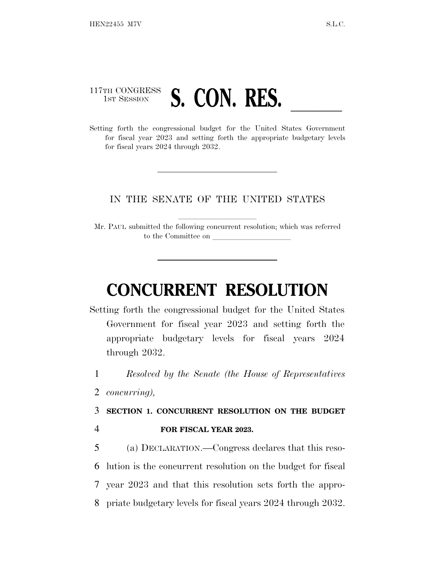## 117TH CONGRESS **1ST SESSION S. CON. RES.**

Setting forth the congressional budget for the United States Government for fiscal year 2023 and setting forth the appropriate budgetary levels for fiscal years 2024 through 2032.

## IN THE SENATE OF THE UNITED STATES

Mr. PAUL submitted the following concurrent resolution; which was referred to the Committee on

# **CONCURRENT RESOLUTION**

Setting forth the congressional budget for the United States Government for fiscal year 2023 and setting forth the appropriate budgetary levels for fiscal years 2024 through 2032.

1 *Resolved by the Senate (the House of Representatives*

2 *concurring),*

3 **SECTION 1. CONCURRENT RESOLUTION ON THE BUDGET** 4 **FOR FISCAL YEAR 2023.**

 (a) DECLARATION.—Congress declares that this reso- lution is the concurrent resolution on the budget for fiscal year 2023 and that this resolution sets forth the appro-priate budgetary levels for fiscal years 2024 through 2032.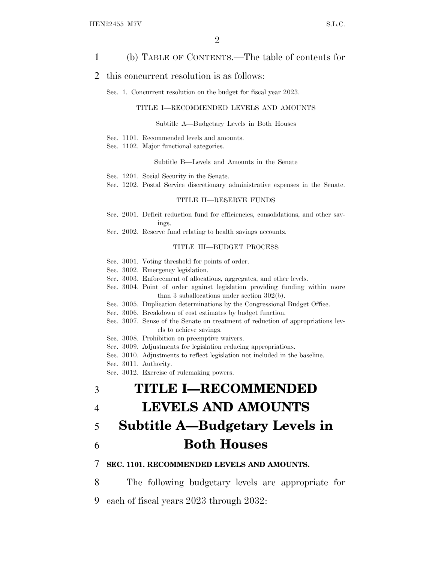## 1 (b) TABLE OF CONTENTS.—The table of contents for

### 2 this concurrent resolution is as follows:

Sec. 1. Concurrent resolution on the budget for fiscal year 2023.

#### TITLE I—RECOMMENDED LEVELS AND AMOUNTS

#### Subtitle A—Budgetary Levels in Both Houses

- Sec. 1101. Recommended levels and amounts.
- Sec. 1102. Major functional categories.

#### Subtitle B—Levels and Amounts in the Senate

- Sec. 1201. Social Security in the Senate.
- Sec. 1202. Postal Service discretionary administrative expenses in the Senate.

#### TITLE II—RESERVE FUNDS

- Sec. 2001. Deficit reduction fund for efficiencies, consolidations, and other savings.
- Sec. 2002. Reserve fund relating to health savings accounts.

#### TITLE III—BUDGET PROCESS

- Sec. 3001. Voting threshold for points of order.
- Sec. 3002. Emergency legislation.
- Sec. 3003. Enforcement of allocations, aggregates, and other levels.
- Sec. 3004. Point of order against legislation providing funding within more than 3 suballocations under section 302(b).
- Sec. 3005. Duplication determinations by the Congressional Budget Office.
- Sec. 3006. Breakdown of cost estimates by budget function.
- Sec. 3007. Sense of the Senate on treatment of reduction of appropriations levels to achieve savings.
- Sec. 3008. Prohibition on preemptive waivers.
- Sec. 3009. Adjustments for legislation reducing appropriations.
- Sec. 3010. Adjustments to reflect legislation not included in the baseline.
- Sec. 3011. Authority.
- Sec. 3012. Exercise of rulemaking powers.

# 3 **TITLE I—RECOMMENDED**

## 4 **LEVELS AND AMOUNTS**

# 5 **Subtitle A—Budgetary Levels in** 6 **Both Houses**

#### 7 **SEC. 1101. RECOMMENDED LEVELS AND AMOUNTS.**

8 The following budgetary levels are appropriate for 9 each of fiscal years 2023 through 2032: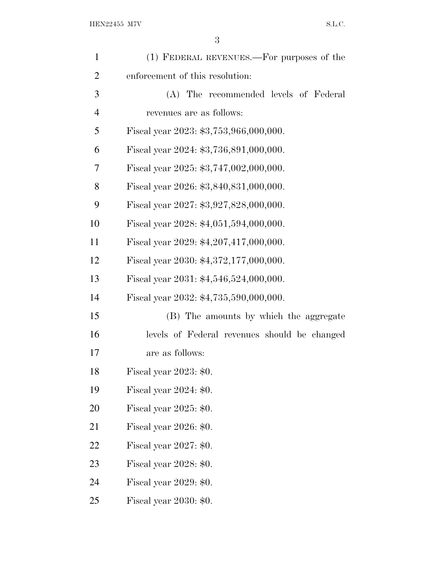| $\mathbf{1}$   | (1) FEDERAL REVENUES.—For purposes of the    |
|----------------|----------------------------------------------|
| $\overline{2}$ | enforcement of this resolution:              |
| 3              | (A) The recommended levels of Federal        |
| $\overline{4}$ | revenues are as follows:                     |
| 5              | Fiscal year 2023: \$3,753,966,000,000.       |
| 6              | Fiscal year 2024: \$3,736,891,000,000.       |
| 7              | Fiscal year 2025: \$3,747,002,000,000.       |
| 8              | Fiscal year 2026: \$3,840,831,000,000.       |
| 9              | Fiscal year 2027: \$3,927,828,000,000.       |
| 10             | Fiscal year 2028: \$4,051,594,000,000.       |
| 11             | Fiscal year 2029: $$4,207,417,000,000$ .     |
| 12             | Fiscal year 2030: \$4,372,177,000,000.       |
| 13             | Fiscal year 2031: \$4,546,524,000,000.       |
| 14             | Fiscal year 2032: \$4,735,590,000,000.       |
| 15             | (B) The amounts by which the aggregate       |
| 16             | levels of Federal revenues should be changed |
| 17             | are as follows:                              |
| 18             | Fiscal year 2023: \$0.                       |
| 19             | Fiscal year $2024: $0.$                      |
| 20             | Fiscal year $2025: $0.$                      |
| 21             | Fiscal year 2026: \$0.                       |
| 22             | Fiscal year $2027: $0.$                      |
| 23             | Fiscal year $2028: $0.$                      |
| 24             | Fiscal year $2029: $0.$                      |
| 25             | Fiscal year 2030: \$0.                       |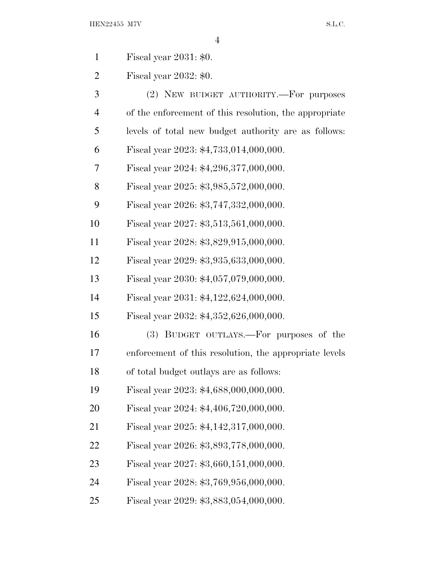| Fiscal year $2031: $0.$ |  |  |
|-------------------------|--|--|
|                         |  |  |

Fiscal year 2032: \$0.

| 3              | (2) NEW BUDGET AUTHORITY.—For purposes                 |
|----------------|--------------------------------------------------------|
| $\overline{4}$ | of the enforcement of this resolution, the appropriate |
| 5              | levels of total new budget authority are as follows:   |
| 6              | Fiscal year 2023: \$4,733,014,000,000.                 |
| 7              | Fiscal year 2024: \$4,296,377,000,000.                 |
| 8              | Fiscal year 2025: \$3,985,572,000,000.                 |
| 9              | Fiscal year 2026: \$3,747,332,000,000.                 |
| 10             | Fiscal year 2027: \$3,513,561,000,000.                 |
| 11             | Fiscal year 2028: \$3,829,915,000,000.                 |
| 12             | Fiscal year 2029: \$3,935,633,000,000.                 |
| 13             | Fiscal year 2030: \$4,057,079,000,000.                 |
| 14             | Fiscal year 2031: $$4,122,624,000,000$ .               |
| 15             | Fiscal year 2032: \$4,352,626,000,000.                 |
| 16             | (3) BUDGET OUTLAYS.—For purposes of the                |
| 17             | enforcement of this resolution, the appropriate levels |
| 18             | of total budget outlays are as follows:                |
| 19             | Fiscal year 2023: \$4,688,000,000,000.                 |
| 20             | Fiscal year 2024: \$4,406,720,000,000.                 |
| 21             | Fiscal year 2025: \$4,142,317,000,000.                 |
| 22             | Fiscal year 2026: \$3,893,778,000,000.                 |
| 23             | Fiscal year 2027: \$3,660,151,000,000.                 |
| 24             | Fiscal year 2028: \$3,769,956,000,000.                 |
| 25             | Fiscal year 2029: \$3,883,054,000,000.                 |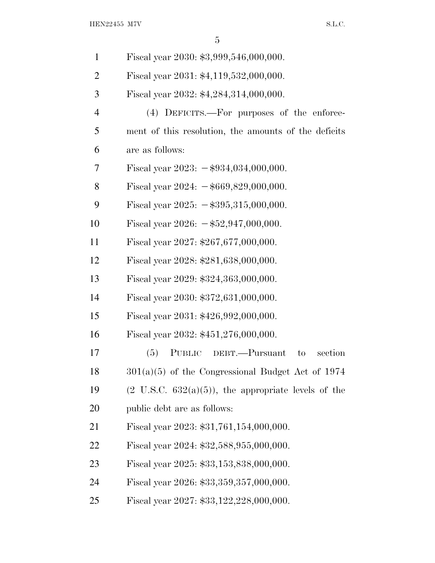| $\mathbf{1}$   | Fiscal year 2030: \$3,999,546,000,000.                          |
|----------------|-----------------------------------------------------------------|
| $\overline{2}$ | Fiscal year 2031: \$4,119,532,000,000.                          |
| 3              | Fiscal year 2032: \$4,284,314,000,000.                          |
| $\overline{4}$ | (4) DEFICITS.—For purposes of the enforce-                      |
| 5              | ment of this resolution, the amounts of the deficits            |
| 6              | are as follows:                                                 |
| 7              | Fiscal year 2023: $-\$934,034,000,000$ .                        |
| 8              | Fiscal year $2024: -\$669,829,000,000.$                         |
| 9              | Fiscal year $2025: -\$395,315,000,000.$                         |
| 10             | Fiscal year 2026: $-\frac{1}{2}52,947,000,000$ .                |
| 11             | Fiscal year 2027: $$267,677,000,000$ .                          |
| 12             | Fiscal year 2028: \$281,638,000,000.                            |
| 13             | Fiscal year 2029: \$324,363,000,000.                            |
| 14             | Fiscal year 2030: \$372,631,000,000.                            |
| 15             | Fiscal year 2031: \$426,992,000,000.                            |
| 16             | Fiscal year 2032: \$451,276,000,000.                            |
| 17             | PUBLIC DEBT.-Pursuant<br>(5)<br>section<br>to                   |
| 18             | $301(a)(5)$ of the Congressional Budget Act of 1974             |
| 19             | $(2 \text{ U.S.C. } 632(a)(5))$ , the appropriate levels of the |
| 20             | public debt are as follows:                                     |
| 21             | Fiscal year 2023: $$31,761,154,000,000$ .                       |
| 22             | Fiscal year 2024: \$32,588,955,000,000.                         |
| 23             | Fiscal year 2025: \$33,153,838,000,000.                         |
| 24             | Fiscal year 2026: \$33,359,357,000,000.                         |
| 25             | Fiscal year 2027: \$33,122,228,000,000.                         |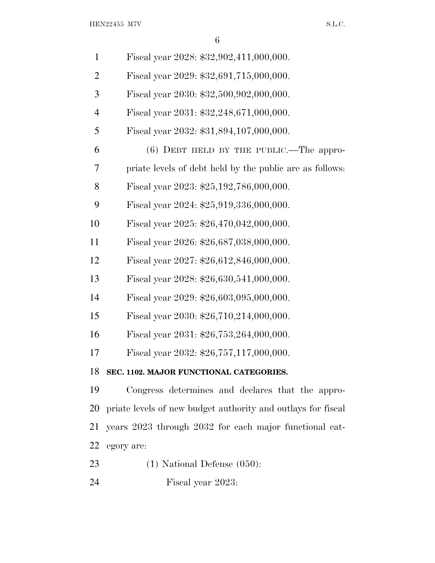${\rm HEN22455\ M7V} \qquad {\rm S.L.C.}$ 

| $\mathbf{1}$   | Fiscal year 2028: \$32,902,411,000,000.                      |
|----------------|--------------------------------------------------------------|
| $\overline{2}$ | Fiscal year 2029: \$32,691,715,000,000.                      |
| 3              | Fiscal year 2030: \$32,500,902,000,000.                      |
| $\overline{4}$ | Fiscal year 2031: \$32,248,671,000,000.                      |
| 5              | Fiscal year 2032: \$31,894,107,000,000.                      |
| 6              | $(6)$ DEBT HELD BY THE PUBLIC.—The appro-                    |
| 7              | priate levels of debt held by the public are as follows:     |
| 8              | Fiscal year 2023: \$25,192,786,000,000.                      |
| 9              | Fiscal year 2024: \$25,919,336,000,000.                      |
| 10             | Fiscal year 2025: \$26,470,042,000,000.                      |
| 11             | Fiscal year 2026: \$26,687,038,000,000.                      |
| 12             | Fiscal year 2027: \$26,612,846,000,000.                      |
| 13             | Fiscal year 2028: \$26,630,541,000,000.                      |
| 14             | Fiscal year 2029: \$26,603,095,000,000.                      |
| 15             | Fiscal year 2030: \$26,710,214,000,000.                      |
| 16             | Fiscal year 2031: \$26,753,264,000,000.                      |
| 17             | Fiscal year 2032: \$26,757,117,000,000.                      |
| 18             | SEC. 1102. MAJOR FUNCTIONAL CATEGORIES.                      |
| 19             | Congress determines and declares that the appro-             |
| 20             | priate levels of new budget authority and outlays for fiscal |
| 21             | years 2023 through 2032 for each major functional cat-       |
| 22             | egory are:                                                   |
| 23             | $(1)$ National Defense $(050)$ :                             |

Fiscal year 2023: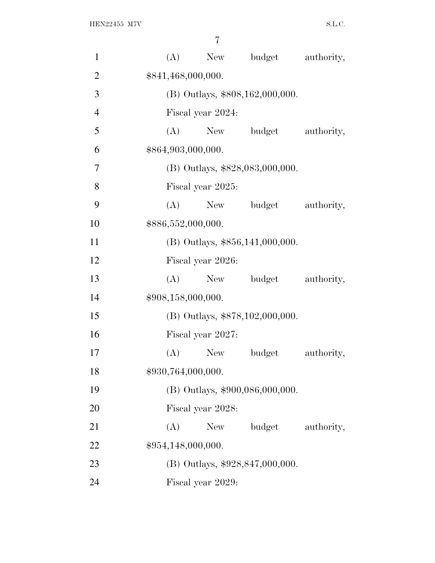| $\mathbf{1}$   | (A) | New                | budget                            | authority, |
|----------------|-----|--------------------|-----------------------------------|------------|
| $\overline{2}$ |     | \$841,468,000,000. |                                   |            |
| 3              |     |                    | (B) Outlays, \$808,162,000,000.   |            |
| $\overline{4}$ |     | Fiscal year 2024:  |                                   |            |
| 5              | (A) | New                | budget                            | authority, |
| 6              |     | \$864,903,000,000. |                                   |            |
| 7              |     |                    | (B) Outlays, \$828,083,000,000.   |            |
| 8              |     | Fiscal year 2025:  |                                   |            |
| 9              | (A) | New                | budget                            | authority, |
| 10             |     | \$886,552,000,000. |                                   |            |
| 11             |     |                    | $(B)$ Outlays, \$856,141,000,000. |            |
| 12             |     | Fiscal year 2026:  |                                   |            |
| 13             | (A) | New                | budget                            | authority, |
| 14             |     | \$908,158,000,000. |                                   |            |
| 15             |     |                    | (B) Outlays, \$878,102,000,000.   |            |
| 16             |     | Fiscal year 2027:  |                                   |            |
| 17             | (A) | <b>New</b>         | budget                            | authority, |
| 18             |     | \$930,764,000,000. |                                   |            |
| 19             |     |                    | (B) Outlays, \$900,086,000,000.   |            |
| 20             |     | Fiscal year 2028:  |                                   |            |
| 21             | (A) | New                | budget                            | authority, |
| 22             |     | \$954,148,000,000. |                                   |            |
| 23             |     |                    | (B) Outlays, \$928,847,000,000.   |            |
| 24             |     | Fiscal year 2029:  |                                   |            |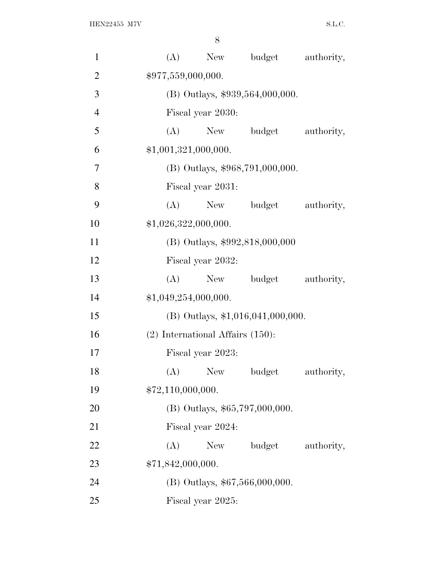| $\mathbf{1}$   | (A)<br>budget<br>authority,<br>New    |  |
|----------------|---------------------------------------|--|
| $\overline{2}$ | \$977,559,000,000.                    |  |
| 3              | (B) Outlays, \$939,564,000,000.       |  |
| $\overline{4}$ | Fiscal year 2030:                     |  |
| 5              | (A)<br>budget<br>authority,<br>New    |  |
| 6              | \$1,001,321,000,000.                  |  |
| $\overline{7}$ | (B) Outlays, \$968,791,000,000.       |  |
| 8              | Fiscal year 2031:                     |  |
| 9              | budget<br>(A)<br>New<br>authority,    |  |
| 10             | \$1,026,322,000,000.                  |  |
| 11             | (B) Outlays, \$992,818,000,000        |  |
| 12             | Fiscal year 2032:                     |  |
| 13             | $(A)$ New<br>budget<br>authority,     |  |
| 14             | \$1,049,254,000,000.                  |  |
| 15             | $(B)$ Outlays, \$1,016,041,000,000.   |  |
| 16             | $(2)$ International Affairs $(150)$ : |  |
| 17             | Fiscal year 2023:                     |  |
| 18             | (A) New budget<br>authority,          |  |
| 19             | \$72,110,000,000.                     |  |
| 20             | (B) Outlays, \$65,797,000,000.        |  |
| 21             | Fiscal year 2024:                     |  |
| 22             | (A)<br>budget<br>authority,<br>New    |  |
| 23             | \$71,842,000,000.                     |  |
| 24             | (B) Outlays, \$67,566,000,000.        |  |
| 25             | Fiscal year 2025:                     |  |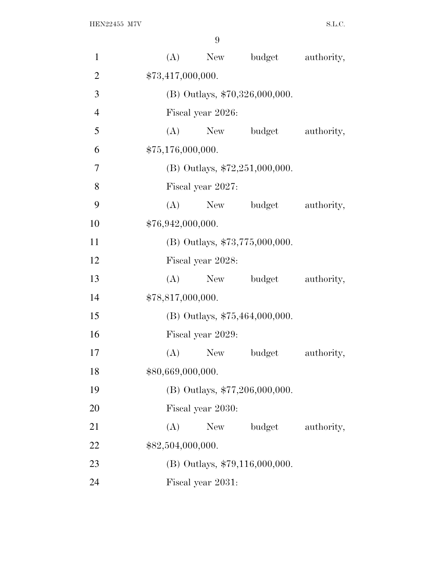| $\mathbf{1}$   | (A)               | New               | budget                           | authority, |
|----------------|-------------------|-------------------|----------------------------------|------------|
| $\overline{2}$ | \$73,417,000,000. |                   |                                  |            |
| 3              |                   |                   | (B) Outlays, \$70,326,000,000.   |            |
| $\overline{4}$ |                   | Fiscal year 2026: |                                  |            |
| 5              | (A)               | New               | budget                           | authority, |
| 6              | \$75,176,000,000. |                   |                                  |            |
| 7              |                   |                   | (B) Outlays, \$72,251,000,000.   |            |
| $8\,$          |                   | Fiscal year 2027: |                                  |            |
| 9              | (A)               |                   | New budget                       | authority, |
| 10             | \$76,942,000,000. |                   |                                  |            |
| 11             |                   |                   | (B) Outlays, \$73,775,000,000.   |            |
| 12             |                   | Fiscal year 2028: |                                  |            |
| 13             | (A)               | New               | budget                           | authority, |
| 14             | \$78,817,000,000. |                   |                                  |            |
| 15             |                   |                   | (B) Outlays, \$75,464,000,000.   |            |
| 16             |                   | Fiscal year 2029: |                                  |            |
| 17             | (A)               | <b>New</b>        | budget                           | authority, |
| 18             | \$80,669,000,000. |                   |                                  |            |
| 19             |                   |                   | (B) Outlays, \$77,206,000,000.   |            |
| 20             |                   | Fiscal year 2030: |                                  |            |
| 21             | (A)               | New               | budget                           | authority, |
| 22             | \$82,504,000,000. |                   |                                  |            |
| 23             |                   |                   | $(B)$ Outlays, \$79,116,000,000. |            |
| 24             |                   | Fiscal year 2031: |                                  |            |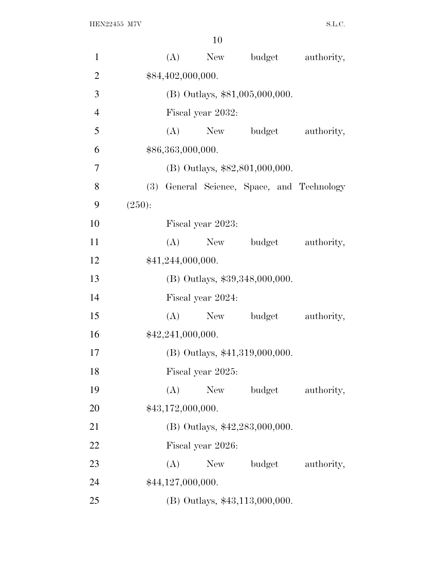| $\mathbf{1}$   |        |                   | $(A)$ New         | budget                                     | authority, |
|----------------|--------|-------------------|-------------------|--------------------------------------------|------------|
| $\overline{2}$ |        | \$84,402,000,000. |                   |                                            |            |
| 3              |        |                   |                   | $(B)$ Outlays, \$81,005,000,000.           |            |
| $\overline{4}$ |        |                   | Fiscal year 2032: |                                            |            |
| 5              |        |                   |                   | (A) New budget                             | authority, |
| 6              |        | \$86,363,000,000. |                   |                                            |            |
| $\overline{7}$ |        |                   |                   | $(B)$ Outlays, \$82,801,000,000.           |            |
| 8              |        |                   |                   | (3) General Science, Space, and Technology |            |
| 9              | (250): |                   |                   |                                            |            |
| 10             |        |                   | Fiscal year 2023: |                                            |            |
| 11             |        |                   | $(A)$ New         | budget                                     | authority, |
| 12             |        | \$41,244,000,000. |                   |                                            |            |
| 13             |        |                   |                   | (B) Outlays, \$39,348,000,000.             |            |
| 14             |        |                   | Fiscal year 2024: |                                            |            |
| 15             |        | (A)               | New               | budget                                     | authority, |
| 16             |        | \$42,241,000,000. |                   |                                            |            |
| 17             |        |                   |                   | (B) Outlays, \$41,319,000,000.             |            |
| 18             |        |                   | Fiscal year 2025: |                                            |            |
| 19             |        | (A)               | <b>New</b>        | budget                                     | authority, |
| 20             |        | \$43,172,000,000. |                   |                                            |            |
| 21             |        |                   |                   | (B) Outlays, \$42,283,000,000.             |            |
| 22             |        |                   | Fiscal year 2026: |                                            |            |
| 23             |        | (A)               | New               | budget                                     | authority, |
| 24             |        | \$44,127,000,000. |                   |                                            |            |
| 25             |        |                   |                   | (B) Outlays, \$43,113,000,000.             |            |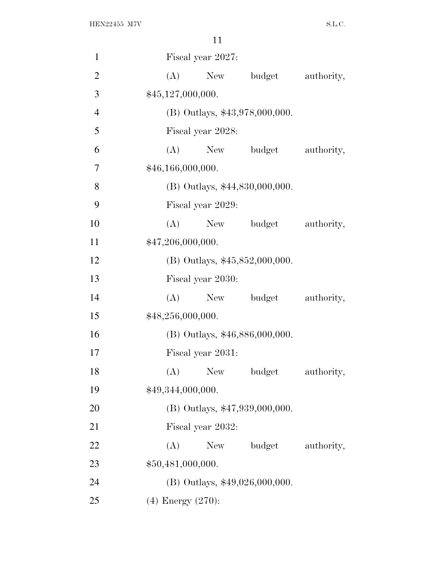| $\mathbf{1}$   | Fiscal year 2027:                  |  |
|----------------|------------------------------------|--|
| $\overline{2}$ | New budget<br>(A)<br>authority,    |  |
| 3              | \$45,127,000,000.                  |  |
| $\overline{4}$ | (B) Outlays, \$43,978,000,000.     |  |
| 5              | Fiscal year 2028:                  |  |
| 6              | (A)<br>New budget<br>authority,    |  |
| 7              | \$46,166,000,000.                  |  |
| 8              | (B) Outlays, \$44,830,000,000.     |  |
| 9              | Fiscal year 2029:                  |  |
| 10             | New budget<br>(A)<br>authority,    |  |
| 11             | \$47,206,000,000.                  |  |
| 12             | (B) Outlays, $$45,852,000,000$ .   |  |
| 13             | Fiscal year 2030:                  |  |
| 14             | (A)<br>New budget<br>authority,    |  |
| 15             | \$48,256,000,000.                  |  |
| 16             | (B) Outlays, \$46,886,000,000.     |  |
| 17             | Fiscal year 2031:                  |  |
| 18             | budget<br>New<br>(A)<br>authority, |  |
| 19             | \$49,344,000,000.                  |  |
| 20             | (B) Outlays, \$47,939,000,000.     |  |
| 21             | Fiscal year 2032:                  |  |
| 22             | (A)<br>New<br>budget<br>authority, |  |
| 23             | \$50,481,000,000.                  |  |
| 24             | $(B)$ Outlays, \$49,026,000,000.   |  |
| 25             | $(4)$ Energy $(270)$ :             |  |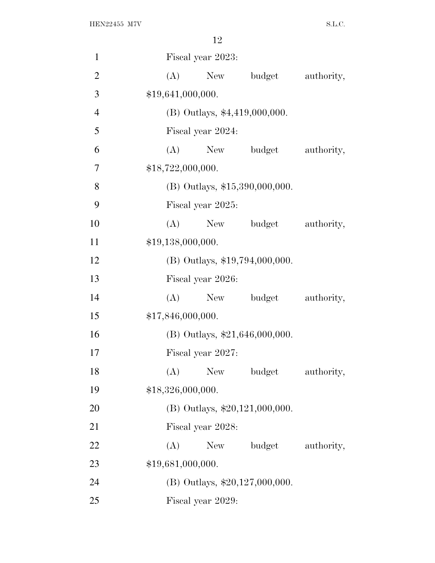| $\mathbf{1}$   | Fiscal year 2023:                  |  |
|----------------|------------------------------------|--|
| $\overline{2}$ | (A)<br>New<br>budget<br>authority, |  |
| 3              | \$19,641,000,000.                  |  |
| $\overline{4}$ | $(B)$ Outlays, \$4,419,000,000.    |  |
| 5              | Fiscal year 2024:                  |  |
| 6              | (A)<br>New<br>budget<br>authority, |  |
| 7              | \$18,722,000,000.                  |  |
| 8              | $(B)$ Outlays, \$15,390,000,000.   |  |
| 9              | Fiscal year 2025:                  |  |
| 10             | budget<br>$(A)$ New<br>authority,  |  |
| 11             | \$19,138,000,000.                  |  |
| 12             | $(B)$ Outlays, \$19,794,000,000.   |  |
| 13             | Fiscal year 2026:                  |  |
| 14             | budget<br>authority,<br>(A)<br>New |  |
| 15             | \$17,846,000,000.                  |  |
| 16             | (B) Outlays, $$21,646,000,000$ .   |  |
| 17             | Fiscal year 2027:                  |  |
| 18             | budget<br>New<br>authority,<br>(A) |  |
| 19             | \$18,326,000,000.                  |  |
| 20             | $(B)$ Outlays, \$20,121,000,000.   |  |
| 21             | Fiscal year 2028:                  |  |
| 22             | budget<br>(A)<br>New<br>authority, |  |
| 23             | \$19,681,000,000.                  |  |
| 24             | $(B)$ Outlays, \$20,127,000,000.   |  |
| 25             | Fiscal year 2029:                  |  |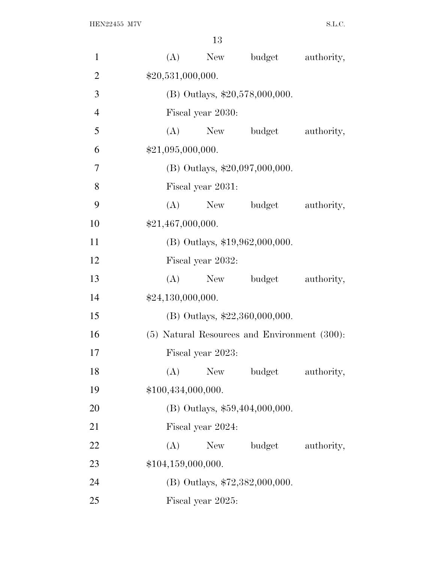| $\mathbf{1}$   | budget<br>(A)<br>New<br>authority,           |
|----------------|----------------------------------------------|
| $\overline{2}$ | \$20,531,000,000.                            |
| 3              | (B) Outlays, $$20,578,000,000$ .             |
| $\overline{4}$ | Fiscal year 2030:                            |
| 5              | (A)<br>New budget<br>authority,              |
| 6              | \$21,095,000,000.                            |
| 7              | $(B)$ Outlays, \$20,097,000,000.             |
| 8              | Fiscal year 2031:                            |
| 9              | (A)<br>New budget<br>authority,              |
| 10             | \$21,467,000,000.                            |
| 11             | (B) Outlays, \$19,962,000,000.               |
| 12             | Fiscal year 2032:                            |
| 13             | New budget<br>(A)<br>authority,              |
| 14             | \$24,130,000,000.                            |
| 15             | (B) Outlays, \$22,360,000,000.               |
| 16             | (5) Natural Resources and Environment (300): |
| 17             | Fiscal year 2023:                            |
| 18             | (A)<br>New<br>budget<br>authority,           |
| 19             | \$100,434,000,000.                           |
| 20             | $(B)$ Outlays, \$59,404,000,000.             |
| 21             | Fiscal year 2024:                            |
| 22             | budget<br>(A)<br>New<br>authority,           |
| 23             | \$104,159,000,000.                           |
| 24             | (B) Outlays, \$72,382,000,000.               |
| 25             | Fiscal year 2025:                            |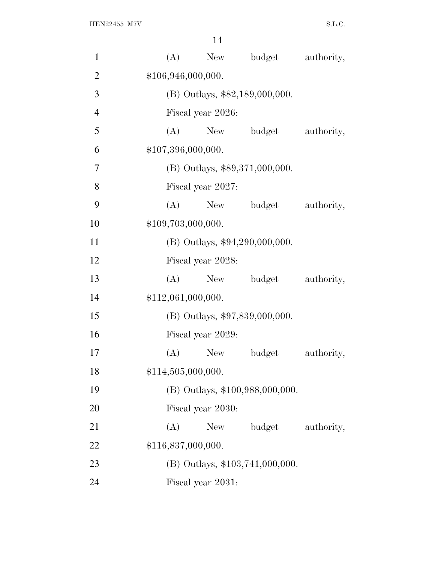| $\mathbf{1}$   | (A)                |                                | New budget                       | authority, |  |  |  |  |  |
|----------------|--------------------|--------------------------------|----------------------------------|------------|--|--|--|--|--|
| $\overline{2}$ |                    | \$106,946,000,000.             |                                  |            |  |  |  |  |  |
| 3              |                    | (B) Outlays, \$82,189,000,000. |                                  |            |  |  |  |  |  |
| $\overline{4}$ | Fiscal year 2026:  |                                |                                  |            |  |  |  |  |  |
| 5              | (A)                |                                | New budget                       | authority, |  |  |  |  |  |
| 6              | \$107,396,000,000. |                                |                                  |            |  |  |  |  |  |
| $\overline{7}$ |                    |                                | $(B)$ Outlays, \$89,371,000,000. |            |  |  |  |  |  |
| 8              | Fiscal year 2027:  |                                |                                  |            |  |  |  |  |  |
| 9              | (A)                | New                            | budget                           | authority, |  |  |  |  |  |
| 10             | \$109,703,000,000. |                                |                                  |            |  |  |  |  |  |
| 11             |                    |                                | (B) Outlays, \$94,290,000,000.   |            |  |  |  |  |  |
| 12             | Fiscal year 2028:  |                                |                                  |            |  |  |  |  |  |
| 13             | (A)                |                                | New budget                       | authority, |  |  |  |  |  |
| 14             | \$112,061,000,000. |                                |                                  |            |  |  |  |  |  |
| 15             |                    |                                | (B) Outlays, \$97,839,000,000.   |            |  |  |  |  |  |
| 16             | Fiscal year 2029:  |                                |                                  |            |  |  |  |  |  |
| 17             | (A)                | New                            | budget                           | authority, |  |  |  |  |  |
| 18             | \$114,505,000,000. |                                |                                  |            |  |  |  |  |  |
| 19             |                    |                                | (B) Outlays, \$100,988,000,000.  |            |  |  |  |  |  |
| 20             | Fiscal year 2030:  |                                |                                  |            |  |  |  |  |  |
| 21             | (A)                | New                            | budget                           | authority, |  |  |  |  |  |
| 22             | \$116,837,000,000. |                                |                                  |            |  |  |  |  |  |
| 23             |                    |                                | (B) Outlays, \$103,741,000,000.  |            |  |  |  |  |  |
| 24             |                    | Fiscal year 2031:              |                                  |            |  |  |  |  |  |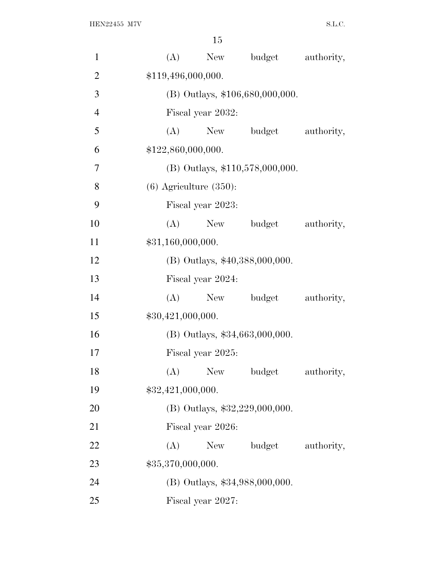| $\mathbf{1}$   | (A)                         | New                             | budget                           | authority, |  |  |  |  |  |
|----------------|-----------------------------|---------------------------------|----------------------------------|------------|--|--|--|--|--|
| $\overline{2}$ |                             | \$119,496,000,000.              |                                  |            |  |  |  |  |  |
| 3              |                             | (B) Outlays, \$106,680,000,000. |                                  |            |  |  |  |  |  |
| $\overline{4}$ | Fiscal year 2032:           |                                 |                                  |            |  |  |  |  |  |
| 5              | (A)                         | New                             | budget                           | authority, |  |  |  |  |  |
| 6              | \$122,860,000,000.          |                                 |                                  |            |  |  |  |  |  |
| 7              |                             |                                 | (B) Outlays, \$110,578,000,000.  |            |  |  |  |  |  |
| 8              | $(6)$ Agriculture $(350)$ : |                                 |                                  |            |  |  |  |  |  |
| 9              | Fiscal year 2023:           |                                 |                                  |            |  |  |  |  |  |
| 10             | (A)                         | New                             | budget                           | authority, |  |  |  |  |  |
| 11             | \$31,160,000,000.           |                                 |                                  |            |  |  |  |  |  |
| 12             |                             |                                 | (B) Outlays, \$40,388,000,000.   |            |  |  |  |  |  |
| 13             | Fiscal year 2024:           |                                 |                                  |            |  |  |  |  |  |
| 14             | (A)                         | New                             | budget                           | authority, |  |  |  |  |  |
| 15             | \$30,421,000,000.           |                                 |                                  |            |  |  |  |  |  |
| 16             |                             |                                 | $(B)$ Outlays, \$34,663,000,000. |            |  |  |  |  |  |
| 17             | Fiscal year 2025:           |                                 |                                  |            |  |  |  |  |  |
| 18             | (A)                         | <b>New</b>                      | budget                           | authority, |  |  |  |  |  |
| 19             | \$32,421,000,000.           |                                 |                                  |            |  |  |  |  |  |
| 20             |                             |                                 | (B) Outlays, \$32,229,000,000.   |            |  |  |  |  |  |
| 21             | Fiscal year 2026:           |                                 |                                  |            |  |  |  |  |  |
| 22             | (A)                         | New                             | budget                           | authority, |  |  |  |  |  |
| 23             | \$35,370,000,000.           |                                 |                                  |            |  |  |  |  |  |
| 24             |                             |                                 | (B) Outlays, \$34,988,000,000.   |            |  |  |  |  |  |
| 25             |                             | Fiscal year 2027:               |                                  |            |  |  |  |  |  |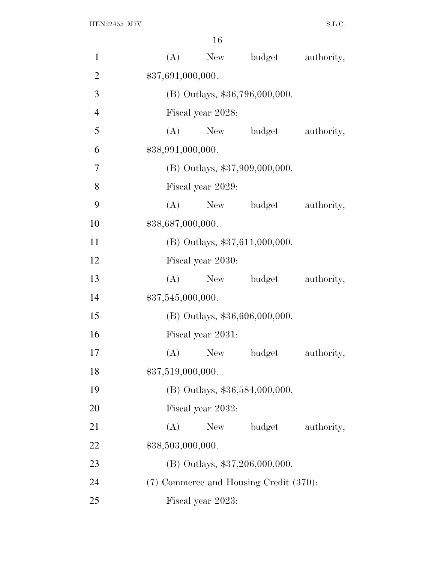| $\mathbf{1}$   | budget<br>(A)<br>New<br>authority,     |  |  |  |  |  |  |  |
|----------------|----------------------------------------|--|--|--|--|--|--|--|
| $\overline{2}$ | \$37,691,000,000.                      |  |  |  |  |  |  |  |
| 3              | (B) Outlays, \$36,796,000,000.         |  |  |  |  |  |  |  |
| $\overline{4}$ | Fiscal year 2028:                      |  |  |  |  |  |  |  |
| 5              | (A)<br>New budget<br>authority,        |  |  |  |  |  |  |  |
| 6              | \$38,991,000,000.                      |  |  |  |  |  |  |  |
| 7              | (B) Outlays, \$37,909,000,000.         |  |  |  |  |  |  |  |
| 8              | Fiscal year 2029:                      |  |  |  |  |  |  |  |
| 9              | budget<br>(A)<br>New<br>authority,     |  |  |  |  |  |  |  |
| 10             | \$38,687,000,000.                      |  |  |  |  |  |  |  |
| 11             | (B) Outlays, \$37,611,000,000.         |  |  |  |  |  |  |  |
| 12             | Fiscal year 2030:                      |  |  |  |  |  |  |  |
| 13             | New budget<br>(A)<br>authority,        |  |  |  |  |  |  |  |
| 14             | \$37,545,000,000.                      |  |  |  |  |  |  |  |
| 15             | $(B)$ Outlays, \$36,606,000,000.       |  |  |  |  |  |  |  |
| 16             | Fiscal year 2031:                      |  |  |  |  |  |  |  |
| 17             | budget<br>authority,<br>(A)<br>New \,  |  |  |  |  |  |  |  |
| 18             | \$37,519,000,000.                      |  |  |  |  |  |  |  |
| 19             | (B) Outlays, \$36,584,000,000.         |  |  |  |  |  |  |  |
| 20             | Fiscal year 2032:                      |  |  |  |  |  |  |  |
| 21             | budget<br>(A)<br>New<br>authority,     |  |  |  |  |  |  |  |
| 22             | \$38,503,000,000.                      |  |  |  |  |  |  |  |
| 23             | $(B)$ Outlays, \$37,206,000,000.       |  |  |  |  |  |  |  |
| 24             | (7) Commerce and Housing Credit (370): |  |  |  |  |  |  |  |
| 25             | Fiscal year 2023:                      |  |  |  |  |  |  |  |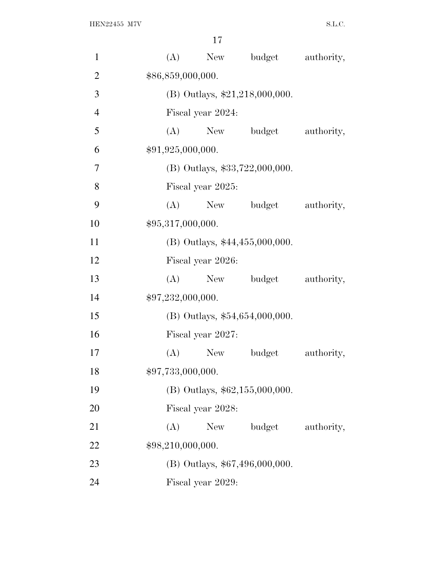| $\mathbf{1}$   | (A)               |                                  | New budget                       | authority, |  |  |  |  |  |
|----------------|-------------------|----------------------------------|----------------------------------|------------|--|--|--|--|--|
| $\overline{2}$ |                   | \$86,859,000,000.                |                                  |            |  |  |  |  |  |
| 3              |                   | $(B)$ Outlays, \$21,218,000,000. |                                  |            |  |  |  |  |  |
| $\overline{4}$ |                   | Fiscal year 2024:                |                                  |            |  |  |  |  |  |
| 5              |                   |                                  | (A) New budget                   | authority, |  |  |  |  |  |
| 6              | \$91,925,000,000. |                                  |                                  |            |  |  |  |  |  |
| 7              |                   |                                  | (B) Outlays, \$33,722,000,000.   |            |  |  |  |  |  |
| 8              |                   | Fiscal year 2025:                |                                  |            |  |  |  |  |  |
| 9              | (A)               |                                  | New budget                       | authority, |  |  |  |  |  |
| 10             | \$95,317,000,000. |                                  |                                  |            |  |  |  |  |  |
| 11             |                   |                                  | (B) Outlays, \$44,455,000,000.   |            |  |  |  |  |  |
| 12             |                   | Fiscal year 2026:                |                                  |            |  |  |  |  |  |
| 13             | (A)               |                                  | New budget                       | authority, |  |  |  |  |  |
| 14             | \$97,232,000,000. |                                  |                                  |            |  |  |  |  |  |
| 15             |                   |                                  | (B) Outlays, \$54,654,000,000.   |            |  |  |  |  |  |
| 16             |                   | Fiscal year 2027:                |                                  |            |  |  |  |  |  |
| 17             | (A)               | New                              | budget                           | authority, |  |  |  |  |  |
| 18             | \$97,733,000,000. |                                  |                                  |            |  |  |  |  |  |
| 19             |                   |                                  | $(B)$ Outlays, \$62,155,000,000. |            |  |  |  |  |  |
| 20             |                   | Fiscal year 2028:                |                                  |            |  |  |  |  |  |
| 21             | (A)               | New                              | budget                           | authority, |  |  |  |  |  |
| 22             | \$98,210,000,000. |                                  |                                  |            |  |  |  |  |  |
| 23             |                   |                                  | (B) Outlays, \$67,496,000,000.   |            |  |  |  |  |  |
| 24             |                   | Fiscal year 2029:                |                                  |            |  |  |  |  |  |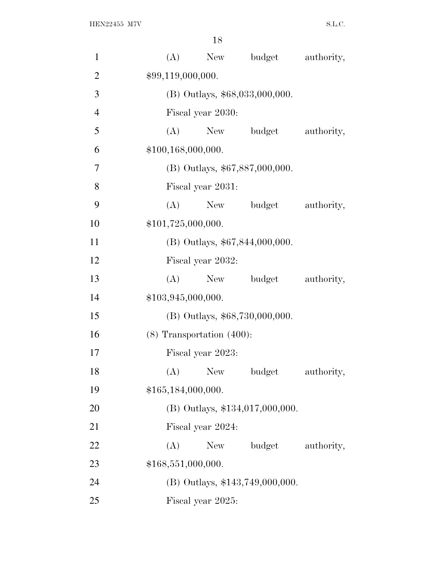| $\mathbf{1}$   | (A)                            |                                | New budget                        | authority, |  |  |  |  |
|----------------|--------------------------------|--------------------------------|-----------------------------------|------------|--|--|--|--|
| $\overline{2}$ |                                | \$99,119,000,000.              |                                   |            |  |  |  |  |
| 3              |                                | (B) Outlays, \$68,033,000,000. |                                   |            |  |  |  |  |
| $\overline{4}$ | Fiscal year 2030:              |                                |                                   |            |  |  |  |  |
| 5              | (A)                            | New                            | budget                            | authority, |  |  |  |  |
| 6              | \$100,168,000,000.             |                                |                                   |            |  |  |  |  |
| 7              |                                |                                | (B) Outlays, \$67,887,000,000.    |            |  |  |  |  |
| 8              | Fiscal year 2031:              |                                |                                   |            |  |  |  |  |
| 9              | (A)                            |                                | New budget                        | authority, |  |  |  |  |
| 10             | \$101,725,000,000.             |                                |                                   |            |  |  |  |  |
| 11             |                                |                                | (B) Outlays, \$67,844,000,000.    |            |  |  |  |  |
| 12             | Fiscal year 2032:              |                                |                                   |            |  |  |  |  |
| 13             | (A)                            |                                | New budget                        | authority, |  |  |  |  |
| 14             | \$103,945,000,000.             |                                |                                   |            |  |  |  |  |
| 15             |                                |                                | (B) Outlays, \$68,730,000,000.    |            |  |  |  |  |
| 16             | $(8)$ Transportation $(400)$ : |                                |                                   |            |  |  |  |  |
| 17             | Fiscal year 2023:              |                                |                                   |            |  |  |  |  |
| 18             | (A)                            | <b>New</b>                     | budget                            | authority, |  |  |  |  |
| 19             | \$165,184,000,000.             |                                |                                   |            |  |  |  |  |
| 20             |                                |                                | $(B)$ Outlays, \$134,017,000,000. |            |  |  |  |  |
| 21             | Fiscal year 2024:              |                                |                                   |            |  |  |  |  |
| 22             | (A)                            | New                            | budget                            | authority, |  |  |  |  |
| 23             | \$168,551,000,000.             |                                |                                   |            |  |  |  |  |
| 24             |                                |                                | (B) Outlays, \$143,749,000,000.   |            |  |  |  |  |
| 25             |                                | Fiscal year 2025:              |                                   |            |  |  |  |  |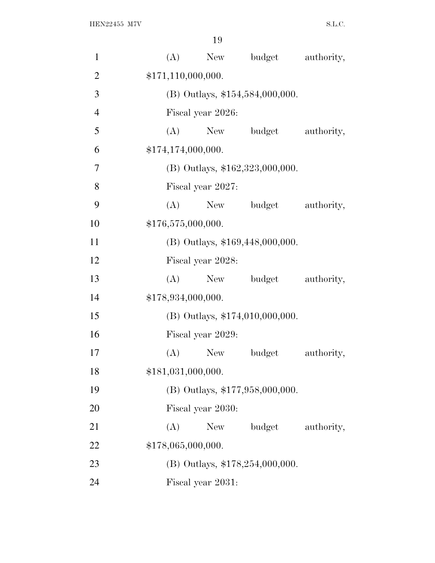| $\mathbf{1}$   | (A) | New                               | budget                            | authority, |  |  |  |  |  |
|----------------|-----|-----------------------------------|-----------------------------------|------------|--|--|--|--|--|
| $\overline{2}$ |     | \$171,110,000,000.                |                                   |            |  |  |  |  |  |
| 3              |     | $(B)$ Outlays, \$154,584,000,000. |                                   |            |  |  |  |  |  |
| $\overline{4}$ |     | Fiscal year 2026:                 |                                   |            |  |  |  |  |  |
| 5              | (A) | New                               | budget                            | authority, |  |  |  |  |  |
| 6              |     | \$174,174,000,000.                |                                   |            |  |  |  |  |  |
| 7              |     |                                   | $(B)$ Outlays, \$162,323,000,000. |            |  |  |  |  |  |
| 8              |     | Fiscal year 2027:                 |                                   |            |  |  |  |  |  |
| 9              | (A) | New                               | budget                            | authority, |  |  |  |  |  |
| 10             |     | \$176,575,000,000.                |                                   |            |  |  |  |  |  |
| 11             |     |                                   | (B) Outlays, \$169,448,000,000.   |            |  |  |  |  |  |
| 12             |     | Fiscal year 2028:                 |                                   |            |  |  |  |  |  |
| 13             | (A) | New                               | budget                            | authority, |  |  |  |  |  |
| 14             |     | \$178,934,000,000.                |                                   |            |  |  |  |  |  |
| 15             |     |                                   | (B) Outlays, \$174,010,000,000.   |            |  |  |  |  |  |
| 16             |     | Fiscal year 2029:                 |                                   |            |  |  |  |  |  |
| 17             | (A) | <b>New</b>                        | budget                            | authority, |  |  |  |  |  |
| 18             |     | \$181,031,000,000.                |                                   |            |  |  |  |  |  |
| 19             |     |                                   | (B) Outlays, \$177,958,000,000.   |            |  |  |  |  |  |
| 20             |     | Fiscal year 2030:                 |                                   |            |  |  |  |  |  |
| 21             | (A) | New                               | budget                            | authority, |  |  |  |  |  |
| 22             |     | \$178,065,000,000.                |                                   |            |  |  |  |  |  |
| 23             |     |                                   | (B) Outlays, \$178,254,000,000.   |            |  |  |  |  |  |
| 24             |     | Fiscal year 2031:                 |                                   |            |  |  |  |  |  |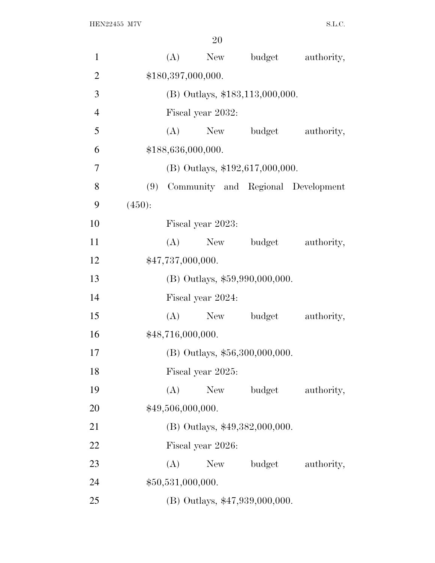| $\mathbf{1}$   |        | (A)                             | New                               | budget | authority,                         |  |  |  |
|----------------|--------|---------------------------------|-----------------------------------|--------|------------------------------------|--|--|--|
| $\overline{2}$ |        | \$180,397,000,000.              |                                   |        |                                    |  |  |  |
| 3              |        | (B) Outlays, \$183,113,000,000. |                                   |        |                                    |  |  |  |
| $\overline{4}$ |        |                                 | Fiscal year 2032:                 |        |                                    |  |  |  |
| 5              |        | (A)                             | New                               | budget | authority,                         |  |  |  |
| 6              |        |                                 | \$188,636,000,000.                |        |                                    |  |  |  |
| $\tau$         |        |                                 | (B) Outlays, $$192,617,000,000$ . |        |                                    |  |  |  |
| 8              | (9)    |                                 |                                   |        | Community and Regional Development |  |  |  |
| 9              | (450): |                                 |                                   |        |                                    |  |  |  |
| 10             |        |                                 | Fiscal year 2023:                 |        |                                    |  |  |  |
| 11             |        | (A)                             | New                               | budget | authority,                         |  |  |  |
| 12             |        |                                 | \$47,737,000,000.                 |        |                                    |  |  |  |
| 13             |        | (B) Outlays, \$59,990,000,000.  |                                   |        |                                    |  |  |  |
| 14             |        |                                 | Fiscal year 2024:                 |        |                                    |  |  |  |
| 15             |        | (A)                             | New                               | budget | authority,                         |  |  |  |
| 16             |        |                                 | \$48,716,000,000.                 |        |                                    |  |  |  |
| 17             |        |                                 | (B) Outlays, \$56,300,000,000.    |        |                                    |  |  |  |
| 18             |        |                                 | Fiscal year 2025:                 |        |                                    |  |  |  |
| 19             |        | (A)                             | <b>New</b>                        | budget | authority,                         |  |  |  |
| 20             |        |                                 | \$49,506,000,000.                 |        |                                    |  |  |  |
| 21             |        |                                 | (B) Outlays, \$49,382,000,000.    |        |                                    |  |  |  |
| 22             |        |                                 | Fiscal year 2026:                 |        |                                    |  |  |  |
| 23             |        | (A)                             | New                               | budget | authority,                         |  |  |  |
| 24             |        |                                 | \$50,531,000,000.                 |        |                                    |  |  |  |
| 25             |        |                                 | (B) Outlays, \$47,939,000,000.    |        |                                    |  |  |  |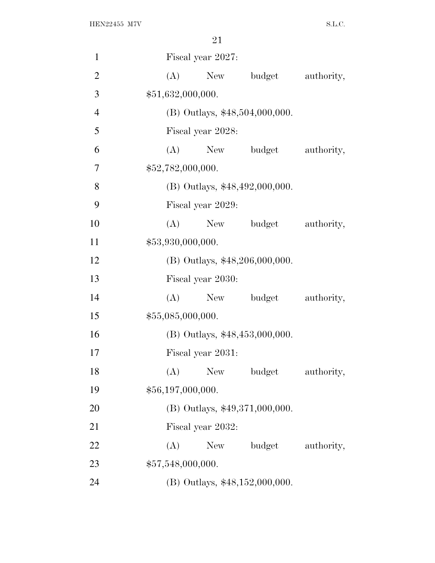| $\mathbf{1}$   | Fiscal year 2027:                         |
|----------------|-------------------------------------------|
| $\overline{2}$ | budget<br>(A)<br>New<br>authority,        |
| 3              | \$51,632,000,000.                         |
| $\overline{4}$ | (B) Outlays, \$48,504,000,000.            |
| 5              | Fiscal year 2028:                         |
| 6              | (A)<br>budget<br>New<br>authority,        |
| 7              | \$52,782,000,000.                         |
| 8              | (B) Outlays, \$48,492,000,000.            |
| 9              | Fiscal year 2029:                         |
| 10             | New budget<br>(A)<br>authority,           |
| 11             | \$53,930,000,000.                         |
| 12             | (B) Outlays, \$48,206,000,000.            |
| 13             | Fiscal year 2030:                         |
| 14             | (A)<br>New<br>budget<br>authority,        |
| 15             | \$55,085,000,000.                         |
| 16             | $(B)$ Outlays, \$48,453,000,000.          |
| 17             | Fiscal year 2031:                         |
| 18             | <b>New</b><br>budget<br>(A)<br>authority, |
| 19             | \$56,197,000,000.                         |
| 20             | $(B)$ Outlays, \$49,371,000,000.          |
| 21             | Fiscal year 2032:                         |
| 22             | (A)<br>New<br>budget<br>authority,        |
| 23             | \$57,548,000,000.                         |
| 24             | (B) Outlays, \$48,152,000,000.            |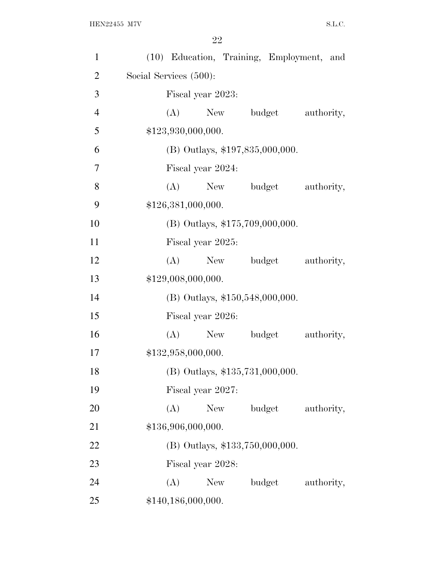| $\mathbf{1}$   |                        |                    |                                 |        | (10) Education, Training, Employment, and |  |  |
|----------------|------------------------|--------------------|---------------------------------|--------|-------------------------------------------|--|--|
| $\overline{2}$ | Social Services (500): |                    |                                 |        |                                           |  |  |
| 3              | Fiscal year 2023:      |                    |                                 |        |                                           |  |  |
| $\overline{4}$ | (A)                    |                    | New budget                      |        | authority,                                |  |  |
| 5              |                        | \$123,930,000,000. |                                 |        |                                           |  |  |
| 6              |                        |                    | (B) Outlays, \$197,835,000,000. |        |                                           |  |  |
| 7              |                        | Fiscal year 2024:  |                                 |        |                                           |  |  |
| 8              | (A)                    |                    | New                             | budget | authority,                                |  |  |
| 9              |                        | \$126,381,000,000. |                                 |        |                                           |  |  |
| 10             |                        |                    | (B) Outlays, \$175,709,000,000. |        |                                           |  |  |
| 11             |                        | Fiscal year 2025:  |                                 |        |                                           |  |  |
| 12             | (A)                    |                    | New                             | budget | authority,                                |  |  |
| 13             |                        | \$129,008,000,000. |                                 |        |                                           |  |  |
| 14             |                        |                    | (B) Outlays, \$150,548,000,000. |        |                                           |  |  |
| 15             |                        | Fiscal year 2026:  |                                 |        |                                           |  |  |
| 16             | (A)                    |                    | New                             | budget | authority,                                |  |  |
| 17             |                        | \$132,958,000,000. |                                 |        |                                           |  |  |
| 18             |                        |                    | (B) Outlays, \$135,731,000,000. |        |                                           |  |  |
| 19             |                        | Fiscal year 2027:  |                                 |        |                                           |  |  |
| 20             | (A)                    | <b>New</b>         |                                 | budget | authority,                                |  |  |
| 21             |                        | \$136,906,000,000. |                                 |        |                                           |  |  |
| 22             |                        |                    | (B) Outlays, \$133,750,000,000. |        |                                           |  |  |
| 23             |                        | Fiscal year 2028:  |                                 |        |                                           |  |  |
| 24             | (A)                    | New                |                                 | budget | authority,                                |  |  |
| 25             |                        | \$140,186,000,000. |                                 |        |                                           |  |  |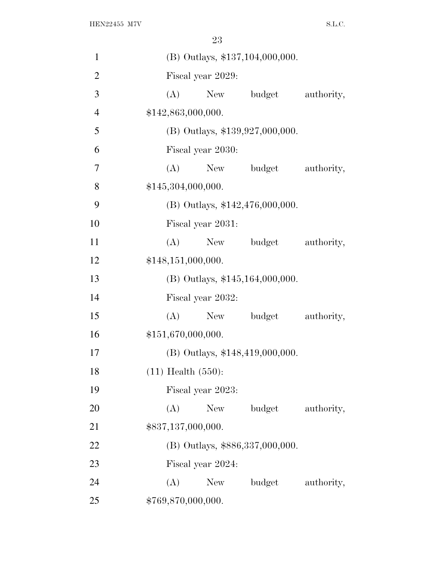| $\mathbf{1}$   |                         | (B) Outlays, \$137,104,000,000. |                                   |            |  |  |  |  |  |
|----------------|-------------------------|---------------------------------|-----------------------------------|------------|--|--|--|--|--|
| $\overline{2}$ |                         | Fiscal year 2029:               |                                   |            |  |  |  |  |  |
| 3              | (A)                     | New                             | budget                            | authority, |  |  |  |  |  |
| $\overline{4}$ | \$142,863,000,000.      |                                 |                                   |            |  |  |  |  |  |
| 5              |                         |                                 | $(B)$ Outlays, \$139,927,000,000. |            |  |  |  |  |  |
| 6              |                         | Fiscal year 2030:               |                                   |            |  |  |  |  |  |
| 7              | (A)                     |                                 | New budget                        | authority, |  |  |  |  |  |
| 8              | \$145,304,000,000.      |                                 |                                   |            |  |  |  |  |  |
| 9              |                         |                                 | (B) Outlays, $$142,476,000,000$ . |            |  |  |  |  |  |
| 10             |                         | Fiscal year 2031:               |                                   |            |  |  |  |  |  |
| 11             |                         | $(A)$ New                       | budget                            | authority, |  |  |  |  |  |
| 12             | \$148,151,000,000.      |                                 |                                   |            |  |  |  |  |  |
| 13             |                         |                                 | $(B)$ Outlays, \$145,164,000,000. |            |  |  |  |  |  |
| 14             |                         | Fiscal year 2032:               |                                   |            |  |  |  |  |  |
| 15             | (A)                     | New                             | budget                            | authority, |  |  |  |  |  |
| 16             | \$151,670,000,000.      |                                 |                                   |            |  |  |  |  |  |
| 17             |                         |                                 | $(B)$ Outlays, \$148,419,000,000. |            |  |  |  |  |  |
| 18             | $(11)$ Health $(550)$ : |                                 |                                   |            |  |  |  |  |  |
| 19             |                         | Fiscal year 2023:               |                                   |            |  |  |  |  |  |
| 20             | (A)                     | New                             | budget                            | authority, |  |  |  |  |  |
| 21             | \$837,137,000,000.      |                                 |                                   |            |  |  |  |  |  |
| 22             |                         |                                 | (B) Outlays, \$886,337,000,000.   |            |  |  |  |  |  |
| 23             |                         | Fiscal year 2024:               |                                   |            |  |  |  |  |  |
| 24             | (A)                     | New                             | budget                            | authority, |  |  |  |  |  |
| 25             | \$769,870,000,000.      |                                 |                                   |            |  |  |  |  |  |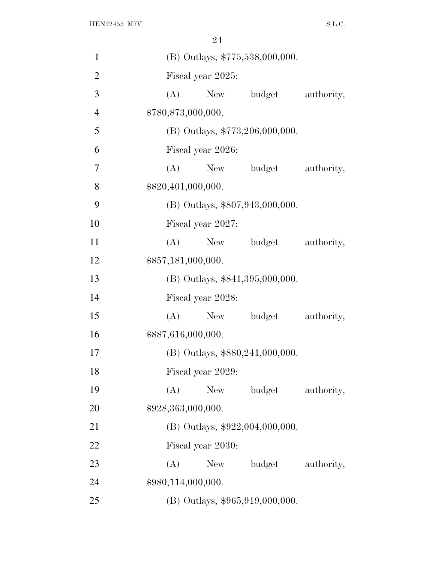| 1              | (B) Outlays, \$775,538,000,000.      |
|----------------|--------------------------------------|
| $\overline{2}$ | Fiscal year 2025:                    |
| 3              | (A) New budget<br>authority,         |
| $\overline{4}$ | \$780,873,000,000.                   |
| 5              | (B) Outlays, $$773,206,000,000$ .    |
| 6              | Fiscal year 2026:                    |
| 7              | New budget authority,<br>(A)         |
| 8              | \$820,401,000,000.                   |
| 9              | (B) Outlays, \$807,943,000,000.      |
| 10             | Fiscal year 2027:                    |
| 11             | (A)<br>New budget authority,         |
| 12             | \$857,181,000,000.                   |
| 13             | (B) Outlays, \$841,395,000,000.      |
| 14             | Fiscal year 2028:                    |
| 15             | (A) New budget<br>authority,         |
| 16             | \$887,616,000,000.                   |
| 17             | $(B)$ Outlays, \$880, 241, 000, 000. |
| 18             | Fiscal year 2029:                    |
| 19             | budget<br>(A)<br>New<br>authority,   |
| 20             | \$928,363,000,000.                   |
| 21             | (B) Outlays, \$922,004,000,000.      |
| 22             | Fiscal year 2030:                    |
| 23             | (A)<br>budget<br>New<br>authority,   |
| 24             | \$980,114,000,000.                   |
| 25             | (B) Outlays, \$965,919,000,000.      |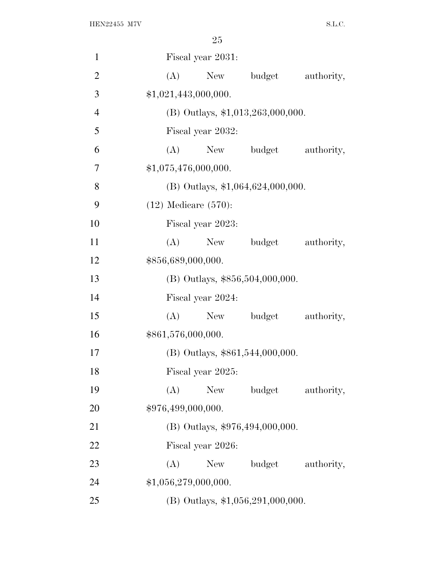| $\mathbf{1}$   | Fiscal year 2031:                      |  |  |  |  |  |  |  |
|----------------|----------------------------------------|--|--|--|--|--|--|--|
| $\overline{2}$ | (A)<br>budget<br>authority,<br>New     |  |  |  |  |  |  |  |
| 3              | \$1,021,443,000,000.                   |  |  |  |  |  |  |  |
| $\overline{4}$ | $(B)$ Outlays, \$1,013,263,000,000.    |  |  |  |  |  |  |  |
| 5              | Fiscal year 2032:                      |  |  |  |  |  |  |  |
| 6              | (A) New budget<br>authority,           |  |  |  |  |  |  |  |
| 7              | \$1,075,476,000,000.                   |  |  |  |  |  |  |  |
| 8              | $(B)$ Outlays, \$1,064,624,000,000.    |  |  |  |  |  |  |  |
| 9              | $(12)$ Medicare $(570)$ :              |  |  |  |  |  |  |  |
| 10             | Fiscal year 2023:                      |  |  |  |  |  |  |  |
| 11             | (A)<br>budget<br>New<br>authority,     |  |  |  |  |  |  |  |
| 12             | \$856,689,000,000.                     |  |  |  |  |  |  |  |
| 13             | (B) Outlays, \$856,504,000,000.        |  |  |  |  |  |  |  |
| 14             | Fiscal year 2024:                      |  |  |  |  |  |  |  |
| 15             | (A)<br>budget<br>authority,<br>New No. |  |  |  |  |  |  |  |
| 16             | \$861,576,000,000.                     |  |  |  |  |  |  |  |
| 17             | $(B)$ Outlays, \$861,544,000,000.      |  |  |  |  |  |  |  |
| 18             | Fiscal year 2025:                      |  |  |  |  |  |  |  |
| 19             | (A)<br>budget<br>New<br>authority,     |  |  |  |  |  |  |  |
| 20             | \$976,499,000,000.                     |  |  |  |  |  |  |  |
| 21             | $(B)$ Outlays, \$976,494,000,000.      |  |  |  |  |  |  |  |
| 22             | Fiscal year 2026:                      |  |  |  |  |  |  |  |
| 23             | (A)<br>budget<br>New \,<br>authority,  |  |  |  |  |  |  |  |
| 24             | \$1,056,279,000,000.                   |  |  |  |  |  |  |  |
| 25             | (B) Outlays, $$1,056,291,000,000$ .    |  |  |  |  |  |  |  |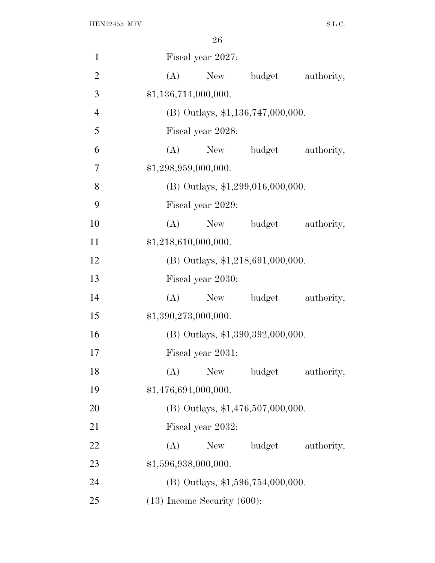| $\mathbf{1}$   | Fiscal year 2027:                         |
|----------------|-------------------------------------------|
| $\overline{2}$ | budget<br>(A)<br>New<br>authority,        |
| 3              | \$1,136,714,000,000.                      |
| $\overline{4}$ | $(B)$ Outlays, \$1,136,747,000,000.       |
| 5              | Fiscal year 2028:                         |
| 6              | budget<br>authority,<br>(A)<br>New        |
| 7              | \$1,298,959,000,000.                      |
| 8              | (B) Outlays, \$1,299,016,000,000.         |
| 9              | Fiscal year 2029:                         |
| 10             | (A)<br>authority,<br>New budget           |
| 11             | \$1,218,610,000,000.                      |
| 12             | $(B)$ Outlays, \$1,218,691,000,000.       |
| 13             | Fiscal year 2030:                         |
| 14             | (A)<br>New budget<br>authority,           |
| 15             | \$1,390,273,000,000.                      |
| 16             | $(B)$ Outlays, \$1,390,392,000,000.       |
| 17             | Fiscal year 2031:                         |
| 18             | (A)<br><b>New</b><br>budget<br>authority, |
| 19             | \$1,476,694,000,000.                      |
| 20             | $(B)$ Outlays, \$1,476,507,000,000.       |
| 21             | Fiscal year 2032:                         |
| 22             | (A)<br>budget<br>authority,<br>New \,     |
| 23             | \$1,596,938,000,000.                      |
| 24             | $(B)$ Outlays, \$1,596,754,000,000.       |
| 25             | $(13)$ Income Security $(600)$ :          |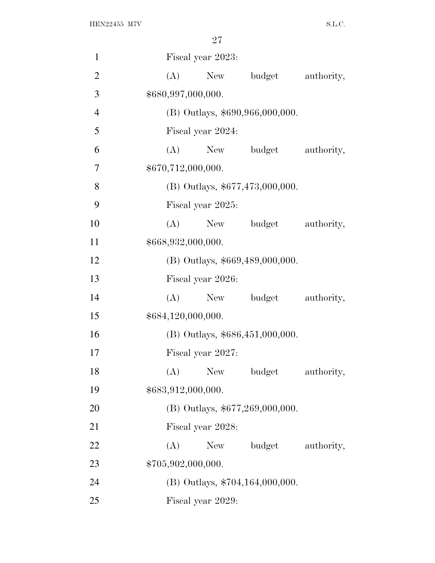| $\mathbf{1}$   | Fiscal year 2023:                         |
|----------------|-------------------------------------------|
| $\overline{2}$ | (A)<br>budget<br>authority,<br>New        |
| 3              | \$680,997,000,000.                        |
| $\overline{4}$ | (B) Outlays, \$690,966,000,000.           |
| 5              | Fiscal year 2024:                         |
| 6              | (A)<br>New budget<br>authority,           |
| 7              | \$670,712,000,000.                        |
| 8              | (B) Outlays, \$677,473,000,000.           |
| 9              | Fiscal year 2025:                         |
| 10             | $(A)$ New<br>budget<br>authority,         |
| 11             | \$668,932,000,000.                        |
| 12             | (B) Outlays, \$669,489,000,000.           |
| 13             | Fiscal year 2026:                         |
| 14             | (A)<br>budget<br>authority,<br>New        |
| 15             | \$684,120,000,000.                        |
| 16             | $(B)$ Outlays, \$686,451,000,000.         |
| 17             | Fiscal year 2027:                         |
| 18             | budget<br><b>New</b><br>(A)<br>authority, |
| 19             | \$683,912,000,000.                        |
| 20             | (B) Outlays, \$677,269,000,000.           |
| 21             | Fiscal year 2028:                         |
| 22             | (A)<br>New<br>budget<br>authority,        |
| 23             | \$705,902,000,000.                        |
| 24             | (B) Outlays, \$704,164,000,000.           |
| 25             | Fiscal year 2029:                         |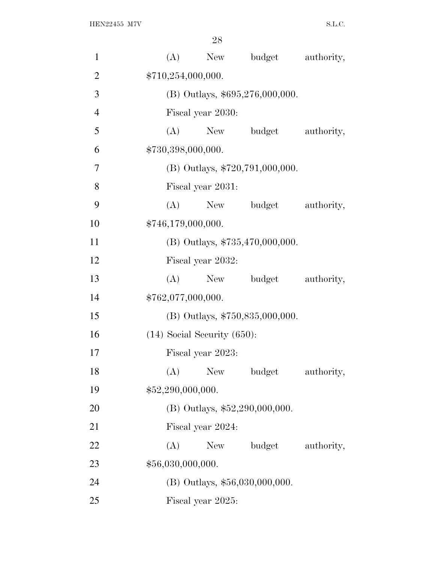| $\mathbf{1}$   | budget<br>(A)<br>New<br>authority,        |  |
|----------------|-------------------------------------------|--|
| $\overline{2}$ | \$710,254,000,000.                        |  |
| 3              | (B) Outlays, \$695,276,000,000.           |  |
| $\overline{4}$ | Fiscal year 2030:                         |  |
| 5              | budget<br>authority,<br>(A)<br>New        |  |
| 6              | \$730,398,000,000.                        |  |
| 7              | (B) Outlays, \$720,791,000,000.           |  |
| 8              | Fiscal year 2031:                         |  |
| 9              | (A)<br>budget<br>authority,<br>New        |  |
| 10             | \$746,179,000,000.                        |  |
| 11             | $(B)$ Outlays, \$735,470,000,000.         |  |
| 12             | Fiscal year 2032:                         |  |
| 13             | budget<br>(A)<br>New<br>authority,        |  |
| 14             | \$762,077,000,000.                        |  |
| 15             | (B) Outlays, \$750,835,000,000.           |  |
| 16             | $(14)$ Social Security $(650)$ :          |  |
| 17             | Fiscal year 2023:                         |  |
| 18             | (A)<br><b>New</b><br>budget<br>authority, |  |
| 19             | \$52,290,000,000.                         |  |
| 20             | (B) Outlays, $$52,290,000,000$ .          |  |
| 21             | Fiscal year 2024:                         |  |
| 22             | budget<br>(A)<br>authority,<br>New        |  |
| 23             | \$56,030,000,000.                         |  |
| 24             | (B) Outlays, \$56,030,000,000.            |  |
| 25             | Fiscal year 2025:                         |  |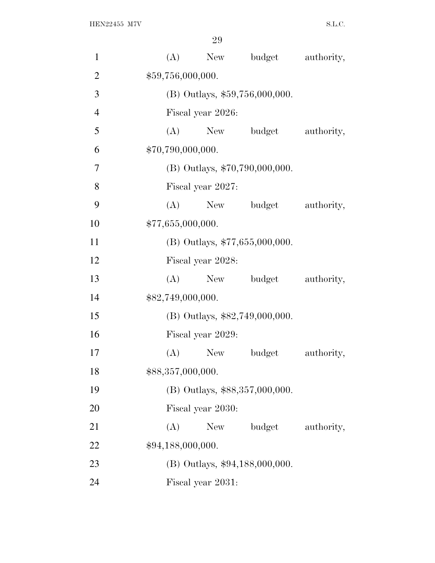| $\mathbf{1}$   |                   | (A) | New               | budget                           | authority, |
|----------------|-------------------|-----|-------------------|----------------------------------|------------|
| $\overline{2}$ |                   |     | \$59,756,000,000. |                                  |            |
| 3              |                   |     |                   | $(B)$ Outlays, \$59,756,000,000. |            |
| $\overline{4}$ |                   |     | Fiscal year 2026: |                                  |            |
| 5              |                   | (A) |                   | New budget                       | authority, |
| 6              | \$70,790,000,000. |     |                   |                                  |            |
| 7              |                   |     |                   | $(B)$ Outlays, \$70,790,000,000. |            |
| 8              |                   |     | Fiscal year 2027: |                                  |            |
| 9              |                   | (A) | New               | budget                           | authority, |
| 10             | \$77,655,000,000. |     |                   |                                  |            |
| 11             |                   |     |                   | (B) Outlays, \$77,655,000,000.   |            |
| 12             |                   |     | Fiscal year 2028: |                                  |            |
| 13             |                   | (A) |                   | New budget                       | authority, |
| 14             | \$82,749,000,000. |     |                   |                                  |            |
| 15             |                   |     |                   | (B) Outlays, \$82,749,000,000.   |            |
| 16             |                   |     | Fiscal year 2029: |                                  |            |
| 17             |                   | (A) | New               | budget                           | authority, |
| 18             | \$88,357,000,000. |     |                   |                                  |            |
| 19             |                   |     |                   | (B) Outlays, \$88,357,000,000.   |            |
| 20             |                   |     | Fiscal year 2030: |                                  |            |
| 21             |                   | (A) | <b>New</b>        | budget                           | authority, |
| 22             | \$94,188,000,000. |     |                   |                                  |            |
| 23             |                   |     |                   | (B) Outlays, \$94,188,000,000.   |            |
| 24             |                   |     | Fiscal year 2031: |                                  |            |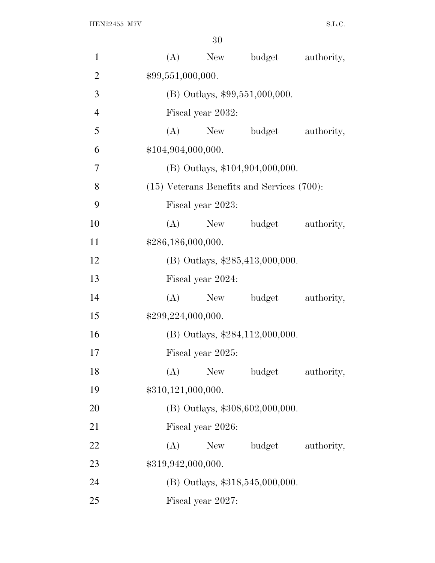| $\mathbf{1}$   | (A)<br>New<br>budget<br>authority,              |
|----------------|-------------------------------------------------|
| $\overline{2}$ | \$99,551,000,000.                               |
| 3              | $(B)$ Outlays, \$99,551,000,000.                |
| $\overline{4}$ | Fiscal year 2032:                               |
| 5              | budget<br>(A)<br>New<br>authority,              |
| 6              | \$104,904,000,000.                              |
| 7              | $(B)$ Outlays, \$104,904,000,000.               |
| 8              | $(15)$ Veterans Benefits and Services $(700)$ : |
| 9              | Fiscal year 2023:                               |
| 10             | (A)<br>New<br>budget<br>authority,              |
| 11             | \$286,186,000,000.                              |
| 12             | (B) Outlays, $$285,413,000,000$ .               |
| 13             | Fiscal year 2024:                               |
| 14             | (A)<br>New<br>budget<br>authority,              |
| 15             | \$299,224,000,000.                              |
| 16             | $(B)$ Outlays, \$284,112,000,000.               |
| 17             | Fiscal year 2025:                               |
| 18             | (A)<br><b>New</b><br>budget<br>authority,       |
| 19             | \$310,121,000,000.                              |
| <b>20</b>      | (B) Outlays, \$308,602,000,000.                 |
| 21             | Fiscal year 2026:                               |
| 22             | (A)<br>New<br>budget<br>authority,              |
| 23             | \$319,942,000,000.                              |
| 24             | (B) Outlays, \$318,545,000,000.                 |
| 25             | Fiscal year 2027:                               |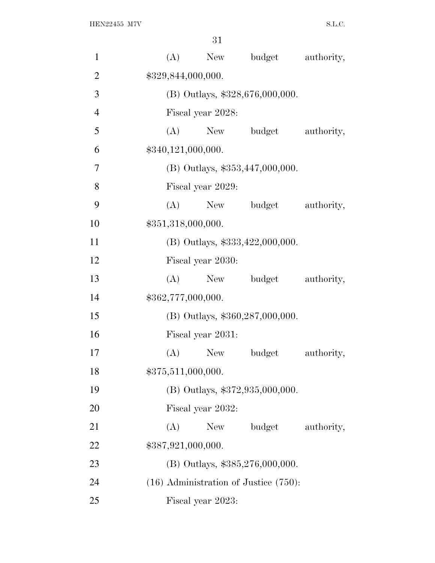| $\mathbf{1}$   | budget<br>(A)<br>New<br>authority,         |  |
|----------------|--------------------------------------------|--|
| $\overline{2}$ | \$329,844,000,000.                         |  |
| 3              | (B) Outlays, \$328,676,000,000.            |  |
| $\overline{4}$ | Fiscal year 2028:                          |  |
| 5              | budget<br>(A)<br>New<br>authority,         |  |
| 6              | \$340,121,000,000.                         |  |
| 7              | (B) Outlays, \$353,447,000,000.            |  |
| 8              | Fiscal year 2029:                          |  |
| 9              | (A)<br>budget<br>authority,<br>New         |  |
| 10             | \$351,318,000,000.                         |  |
| 11             | (B) Outlays, $$333,422,000,000$ .          |  |
| 12             | Fiscal year 2030:                          |  |
| 13             | budget<br>(A)<br>New<br>authority,         |  |
| 14             | \$362,777,000,000.                         |  |
| 15             | (B) Outlays, \$360,287,000,000.            |  |
| 16             | Fiscal year 2031:                          |  |
| 17             | (A)<br>budget<br>authority,<br>New         |  |
| 18             | \$375,511,000,000.                         |  |
| 19             | (B) Outlays, \$372,935,000,000.            |  |
| <b>20</b>      | Fiscal year 2032:                          |  |
| 21             | budget<br>(A)<br>New<br>authority,         |  |
| 22             | \$387,921,000,000.                         |  |
| 23             | (B) Outlays, \$385,276,000,000.            |  |
| 24             | $(16)$ Administration of Justice $(750)$ : |  |
| 25             | Fiscal year 2023:                          |  |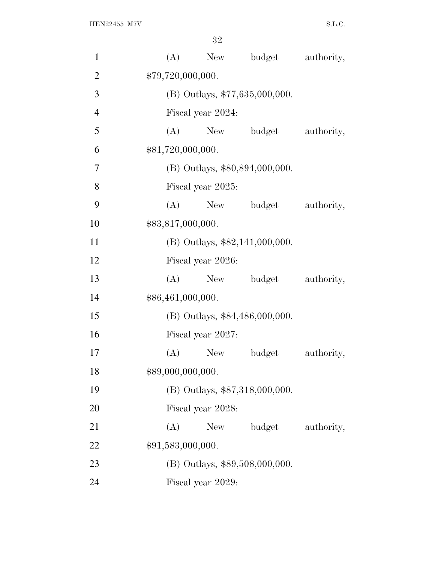| $\mathbf{1}$   | (A)               | New                              | budget                         | authority, |  |  |
|----------------|-------------------|----------------------------------|--------------------------------|------------|--|--|
| $\overline{2}$ | \$79,720,000,000. |                                  |                                |            |  |  |
| 3              |                   | $(B)$ Outlays, \$77,635,000,000. |                                |            |  |  |
| $\overline{4}$ |                   | Fiscal year 2024:                |                                |            |  |  |
| 5              | (A)               |                                  | New budget                     | authority, |  |  |
| 6              | \$81,720,000,000. |                                  |                                |            |  |  |
| 7              |                   |                                  | (B) Outlays, \$80,894,000,000. |            |  |  |
| 8              |                   | Fiscal year 2025:                |                                |            |  |  |
| 9              | (A)               | New                              | budget                         | authority, |  |  |
| 10             | \$83,817,000,000. |                                  |                                |            |  |  |
| 11             |                   |                                  | (B) Outlays, \$82,141,000,000. |            |  |  |
| 12             |                   | Fiscal year 2026:                |                                |            |  |  |
| 13             | (A)               | New                              | budget                         | authority, |  |  |
| 14             | \$86,461,000,000. |                                  |                                |            |  |  |
| 15             |                   | (B) Outlays, \$84,486,000,000.   |                                |            |  |  |
| 16             |                   | Fiscal year 2027:                |                                |            |  |  |
| 17             | (A)               | New                              | budget                         | authority, |  |  |
| 18             | \$89,000,000,000. |                                  |                                |            |  |  |
| 19             |                   |                                  | (B) Outlays, \$87,318,000,000. |            |  |  |
| <b>20</b>      |                   | Fiscal year 2028:                |                                |            |  |  |
| 21             | (A)               | New                              | budget                         | authority, |  |  |
| 22             | \$91,583,000,000. |                                  |                                |            |  |  |
| 23             |                   |                                  | (B) Outlays, \$89,508,000,000. |            |  |  |
| 24             |                   | Fiscal year 2029:                |                                |            |  |  |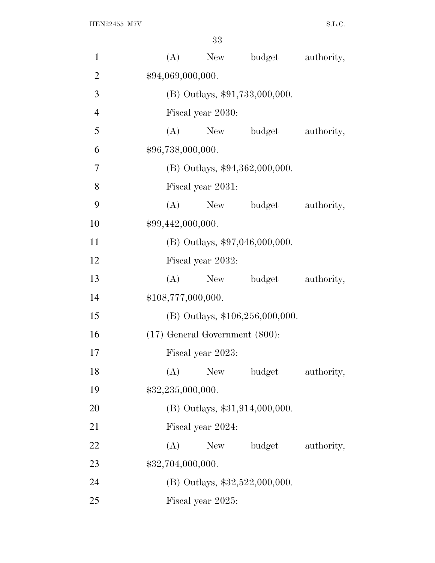| $\mathbf{1}$   | (A)                                 |            | New budget                        | authority, |
|----------------|-------------------------------------|------------|-----------------------------------|------------|
| $\overline{2}$ | \$94,069,000,000.                   |            |                                   |            |
| 3              |                                     |            | $(B)$ Outlays, \$91,733,000,000.  |            |
| $\overline{4}$ | Fiscal year 2030:                   |            |                                   |            |
| 5              | (A)                                 |            | New budget                        | authority, |
| 6              | \$96,738,000,000.                   |            |                                   |            |
| 7              |                                     |            | $(B)$ Outlays, \$94,362,000,000.  |            |
| 8              | Fiscal year 2031:                   |            |                                   |            |
| 9              | (A)                                 | New        | budget                            | authority, |
| 10             | \$99,442,000,000.                   |            |                                   |            |
| 11             |                                     |            | $(B)$ Outlays, \$97,046,000,000.  |            |
| 12             | Fiscal year 2032:                   |            |                                   |            |
| 13             | (A)                                 |            | New budget                        | authority, |
| 14             | \$108,777,000,000.                  |            |                                   |            |
| 15             |                                     |            | $(B)$ Outlays, \$106,256,000,000. |            |
| 16             | $(17)$ General Government $(800)$ : |            |                                   |            |
| 17             | Fiscal year 2023:                   |            |                                   |            |
| 18             | (A)                                 | <b>New</b> | budget                            | authority, |
| 19             | \$32,235,000,000.                   |            |                                   |            |
| 20             |                                     |            | (B) Outlays, \$31,914,000,000.    |            |
| 21             | Fiscal year 2024:                   |            |                                   |            |
| 22             | (A)                                 | New        | budget                            | authority, |
| 23             | \$32,704,000,000.                   |            |                                   |            |
| 24             |                                     |            | (B) Outlays, \$32,522,000,000.    |            |
| 25             | Fiscal year 2025:                   |            |                                   |            |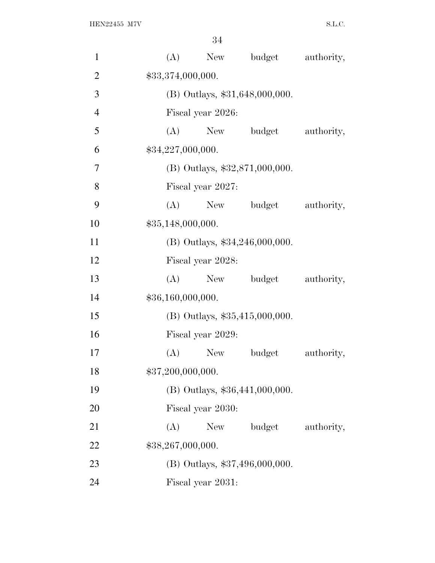| $\mathbf{1}$   |     | (A)<br>New        | budget                           | authority, |
|----------------|-----|-------------------|----------------------------------|------------|
| $\overline{2}$ |     | \$33,374,000,000. |                                  |            |
| 3              |     |                   | (B) Outlays, \$31,648,000,000.   |            |
| $\overline{4}$ |     | Fiscal year 2026: |                                  |            |
| 5              |     | $(A)$ New         | budget                           | authority, |
| 6              |     | \$34,227,000,000. |                                  |            |
| $\overline{7}$ |     |                   | $(B)$ Outlays, \$32,871,000,000. |            |
| 8              |     | Fiscal year 2027: |                                  |            |
| 9              | (A) | New               | budget                           | authority, |
| 10             |     | \$35,148,000,000. |                                  |            |
| 11             |     |                   | (B) Outlays, \$34,246,000,000.   |            |
| 12             |     | Fiscal year 2028: |                                  |            |
| 13             | (A) |                   | New budget                       | authority, |
| 14             |     | \$36,160,000,000. |                                  |            |
| 15             |     |                   | (B) Outlays, \$35,415,000,000.   |            |
| 16             |     | Fiscal year 2029: |                                  |            |
| 17             | (A) | New               | budget                           | authority, |
| 18             |     | \$37,200,000,000. |                                  |            |
| 19             |     |                   | (B) Outlays, \$36,441,000,000.   |            |
| 20             |     | Fiscal year 2030: |                                  |            |
| 21             | (A) | New               | budget                           | authority, |
| 22             |     | \$38,267,000,000. |                                  |            |
| 23             |     |                   | (B) Outlays, \$37,496,000,000.   |            |
| 24             |     | Fiscal year 2031: |                                  |            |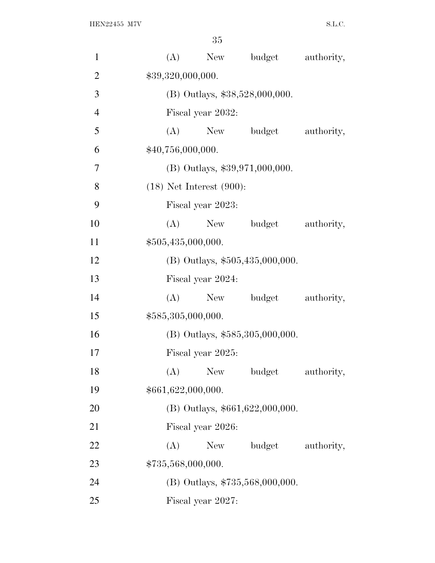| $\mathbf{1}$   | (A)<br>New budget<br>authority,           |
|----------------|-------------------------------------------|
| $\overline{2}$ | \$39,320,000,000.                         |
| 3              | (B) Outlays, \$38,528,000,000.            |
| $\overline{4}$ | Fiscal year 2032:                         |
| 5              | (A) New budget<br>authority,              |
| 6              | \$40,756,000,000.                         |
| 7              | $(B)$ Outlays, \$39,971,000,000.          |
| 8              | $(18)$ Net Interest $(900)$ :             |
| 9              | Fiscal year 2023:                         |
| 10             | (A)<br>New budget<br>authority,           |
| 11             | \$505,435,000,000.                        |
| 12             | (B) Outlays, \$505,435,000,000.           |
| 13             | Fiscal year 2024:                         |
| 14             | (A)<br>New<br>budget<br>authority,        |
| 15             | \$585,305,000,000.                        |
| 16             | $(B)$ Outlays, \$585,305,000,000.         |
| 17             | Fiscal year 2025:                         |
| 18             | (A)<br><b>New</b><br>budget<br>authority, |
| 19             | \$661,622,000,000.                        |
| 20             | $(B)$ Outlays, \$661,622,000,000.         |
| 21             | Fiscal year 2026:                         |
| 22             | (A)<br>budget<br>authority,<br>New \,     |
| 23             | \$735,568,000,000.                        |
| 24             | (B) Outlays, \$735,568,000,000.           |
| 25             | Fiscal year 2027:                         |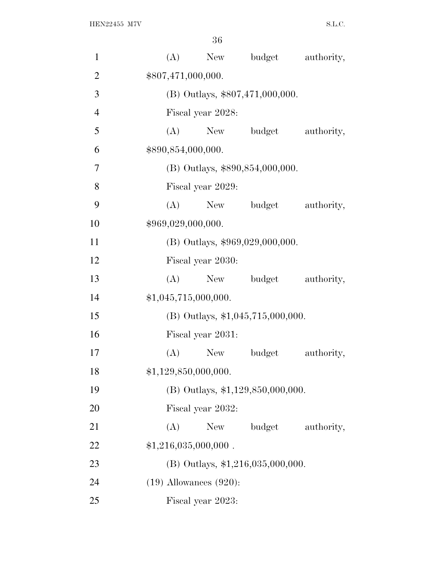| $\mathbf{1}$   |                             | $(A)$ New                       | budget                              | authority, |  |  |
|----------------|-----------------------------|---------------------------------|-------------------------------------|------------|--|--|
| $\overline{2}$ | \$807,471,000,000.          |                                 |                                     |            |  |  |
| 3              |                             | (B) Outlays, \$807,471,000,000. |                                     |            |  |  |
| $\overline{4}$ |                             | Fiscal year 2028:               |                                     |            |  |  |
| 5              | (A)                         |                                 | New budget                          | authority, |  |  |
| 6              | \$890,854,000,000.          |                                 |                                     |            |  |  |
| 7              |                             |                                 | (B) Outlays, \$890,854,000,000.     |            |  |  |
| 8              |                             | Fiscal year 2029:               |                                     |            |  |  |
| 9              | (A)                         | New                             | budget                              | authority, |  |  |
| 10             | \$969,029,000,000.          |                                 |                                     |            |  |  |
| 11             |                             |                                 | $(B)$ Outlays, \$969,029,000,000.   |            |  |  |
| 12             |                             | Fiscal year 2030:               |                                     |            |  |  |
| 13             | (A)                         |                                 | New budget                          | authority, |  |  |
| 14             | \$1,045,715,000,000.        |                                 |                                     |            |  |  |
| 15             |                             |                                 | (B) Outlays, \$1,045,715,000,000.   |            |  |  |
| 16             |                             | Fiscal year 2031:               |                                     |            |  |  |
| 17             | (A)                         | New                             | budget                              | authority, |  |  |
| 18             | \$1,129,850,000,000.        |                                 |                                     |            |  |  |
| 19             |                             |                                 | (B) Outlays, \$1,129,850,000,000.   |            |  |  |
| 20             |                             | Fiscal year 2032:               |                                     |            |  |  |
| 21             | (A)                         | New                             | budget                              | authority, |  |  |
| 22             | $$1,216,035,000,000$ .      |                                 |                                     |            |  |  |
| 23             |                             |                                 | $(B)$ Outlays, \$1,216,035,000,000. |            |  |  |
| 24             | $(19)$ Allowances $(920)$ : |                                 |                                     |            |  |  |
| 25             |                             | Fiscal year 2023:               |                                     |            |  |  |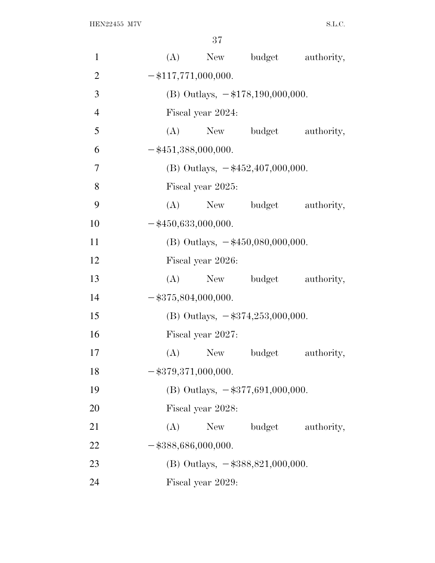| $\mathbf{1}$   | (A) |                                     |                                               | New budget authority,     |  |
|----------------|-----|-------------------------------------|-----------------------------------------------|---------------------------|--|
| $\overline{2}$ |     | $-\$117,771,000,000.$               |                                               |                           |  |
| 3              |     | (B) Outlays, $-\$178,190,000,000$ . |                                               |                           |  |
| $\overline{4}$ |     | Fiscal year 2024:                   |                                               |                           |  |
| 5              |     |                                     |                                               | (A) New budget authority, |  |
| 6              |     | $-$ \$451,388,000,000.              |                                               |                           |  |
| 7              |     |                                     | (B) Outlays, $-\frac{452,407,000,000}$ .      |                           |  |
| 8              |     | Fiscal year 2025:                   |                                               |                           |  |
| 9              | (A) |                                     |                                               | New budget authority,     |  |
| 10             |     | $-$ \$450,633,000,000.              |                                               |                           |  |
| 11             |     |                                     | (B) Outlays, $-\frac{450,080,000,000}{500}$ . |                           |  |
| 12             |     | Fiscal year 2026:                   |                                               |                           |  |
| 13             | (A) |                                     |                                               | New budget authority,     |  |
| 14             |     | $-$ \$375,804,000,000.              |                                               |                           |  |
| 15             |     |                                     | (B) Outlays, $-$ \$374,253,000,000.           |                           |  |
| 16             |     | Fiscal year 2027:                   |                                               |                           |  |
| 17             | (A) |                                     | New budget                                    | authority,                |  |
| 18             |     | $-$ \$379,371,000,000.              |                                               |                           |  |
| 19             |     |                                     | (B) Outlays, $-\$377,691,000,000$ .           |                           |  |
| 20             |     | Fiscal year 2028:                   |                                               |                           |  |
| 21             | (A) | New                                 | budget                                        | authority,                |  |
| 22             |     | $-$ \$388,686,000,000.              |                                               |                           |  |
| 23             |     |                                     | (B) Outlays, $-\$388,821,000,000$ .           |                           |  |
| 24             |     | Fiscal year 2029:                   |                                               |                           |  |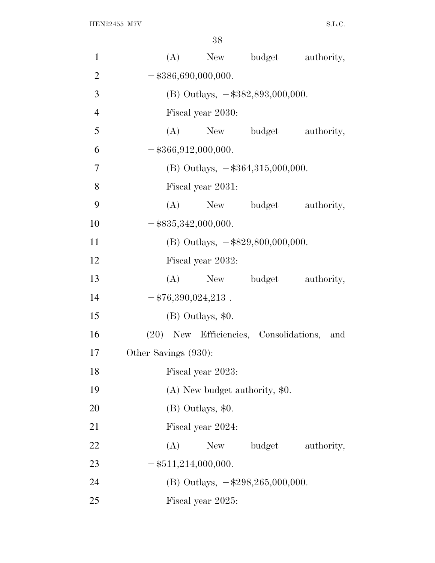| $\mathbf{1}$   | (A)<br>New budget authority,               |  |
|----------------|--------------------------------------------|--|
| $\overline{2}$ | $-$ \$386,690,000,000.                     |  |
| 3              | (B) Outlays, $-\$382,893,000,000$ .        |  |
| $\overline{4}$ | Fiscal year 2030:                          |  |
| 5              | New budget authority,<br>(A)               |  |
| 6              | $-$ \$366,912,000,000.                     |  |
| $\overline{7}$ | (B) Outlays, $-$ \$364,315,000,000.        |  |
| 8              | Fiscal year 2031:                          |  |
| 9              | (A) New budget<br>authority,               |  |
| 10             | $-$ \$835,342,000,000.                     |  |
| 11             | (B) Outlays, $-\$829,800,000,000$ .        |  |
| 12             | Fiscal year 2032:                          |  |
| 13             | (A) New budget authority,                  |  |
| 14             | $-$ \$76,390,024,213.                      |  |
| 15             | (B) Outlays, \$0.                          |  |
| 16             | (20) New Efficiencies, Consolidations, and |  |
| 17             | Other Savings (930):                       |  |
| 18             | Fiscal year 2023:                          |  |
| 19             | $(A)$ New budget authority, \$0.           |  |
| 20             | (B) Outlays, \$0.                          |  |
| 21             | Fiscal year 2024:                          |  |
| 22             | budget<br>(A)<br>New<br>authority,         |  |
| 23             | $-$ \$511,214,000,000.                     |  |
| 24             | (B) Outlays, $-\$298,\!265,\!000,\!000$ .  |  |
| 25             | Fiscal year 2025:                          |  |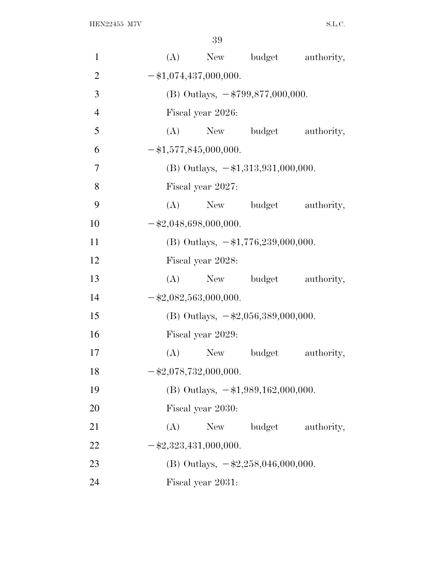| $\mathbf{1}$   | (A) |                               |                                             | New budget authority,     |
|----------------|-----|-------------------------------|---------------------------------------------|---------------------------|
| $\overline{2}$ |     | $-$ \$1,074,437,000,000.      |                                             |                           |
| 3              |     |                               | (B) Outlays, $-\frac{2799}{577,000,000}$ .  |                           |
| $\overline{4}$ |     | Fiscal year 2026:             |                                             |                           |
| 5              |     |                               | (A) New budget                              | authority,                |
| 6              |     | $-$ \$1,577,845,000,000.      |                                             |                           |
| $\tau$         |     |                               | (B) Outlays, $-\$1,313,931,000,000$ .       |                           |
| 8              |     | Fiscal year 2027:             |                                             |                           |
| 9              | (A) |                               |                                             | New budget authority,     |
| 10             |     | $-$ \$2,048,698,000,000.      |                                             |                           |
| 11             |     |                               | (B) Outlays, $-\$1,776,239,000,000$ .       |                           |
| 12             |     | Fiscal year 2028:             |                                             |                           |
| 13             |     |                               |                                             | (A) New budget authority, |
| 14             |     | $-\$2,082,563,000,000.$       |                                             |                           |
| 15             |     |                               | (B) Outlays, $-\$2,056,389,000,000$ .       |                           |
| 16             |     | Fiscal year 2029:             |                                             |                           |
| 17             |     |                               | (A) New budget                              | authority,                |
| 18             |     | $-$ \$2,078,732,000,000.      |                                             |                           |
| 19             |     |                               | (B) Outlays, $-\$1,989,162,000,000$ .       |                           |
| 20             |     | Fiscal year 2030:             |                                             |                           |
| 21             | (A) | New                           | budget                                      | authority,                |
| 22             |     | $-\frac{2,323,431,000,000}$ . |                                             |                           |
| 23             |     |                               | (B) Outlays, $-\frac{22.258,046,000,000}$ . |                           |
| 24             |     | Fiscal year 2031:             |                                             |                           |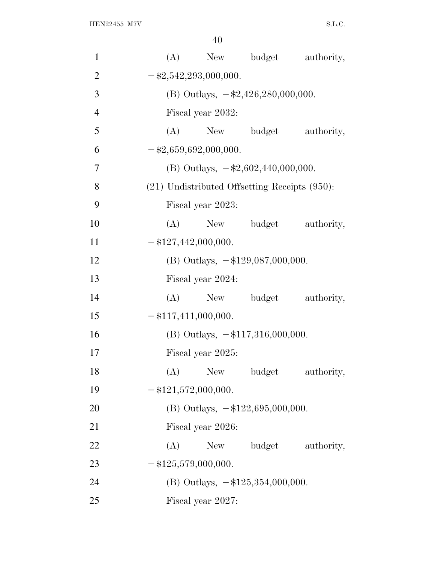| 1              |     | (A) New budget                                     |        | authority,                |
|----------------|-----|----------------------------------------------------|--------|---------------------------|
| $\overline{2}$ |     | $-$ \$2,542,293,000,000.                           |        |                           |
| 3              |     | (B) Outlays, $-\$2,426,280,000,000$ .              |        |                           |
| $\overline{4}$ |     | Fiscal year 2032:                                  |        |                           |
| 5              |     | (A) New budget                                     |        | authority,                |
| 6              |     | $-\$2,659,692,000,000.$                            |        |                           |
| 7              |     | (B) Outlays, $-\$2,602,440,000,000$ .              |        |                           |
| 8              |     | $(21)$ Undistributed Offsetting Receipts $(950)$ : |        |                           |
| 9              |     | Fiscal year 2023:                                  |        |                           |
| 10             |     |                                                    |        | (A) New budget authority, |
| 11             |     | $-\$127,442,000,000.$                              |        |                           |
| 12             |     | (B) Outlays, $-\$129,087,000,000$ .                |        |                           |
| 13             |     | Fiscal year 2024:                                  |        |                           |
| 14             | (A) | New budget                                         |        | authority,                |
| 15             |     | $-$ \$117,411,000,000.                             |        |                           |
| 16             |     | (B) Outlays, $-\$117,316,000,000$ .                |        |                           |
| 17             |     | Fiscal year 2025:                                  |        |                           |
| 18             | (A) | New                                                | budget | authority,                |
| 19             |     | $-$ \$121,572,000,000.                             |        |                           |
| 20             |     | (B) Outlays, $-\$122,695,000,000$ .                |        |                           |
| 21             |     | Fiscal year 2026:                                  |        |                           |
| 22             | (A) | New                                                | budget | authority,                |
| 23             |     | $-\$125,579,000,000.$                              |        |                           |
| 24             |     | (B) Outlays, $-\$125,354,000,000$ .                |        |                           |
| 25             |     | Fiscal year 2027:                                  |        |                           |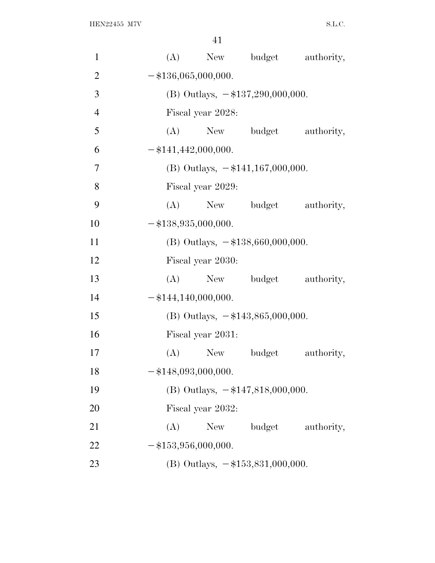| $\mathbf{1}$   | (A)<br>New budget<br>authority,        |
|----------------|----------------------------------------|
| $\overline{2}$ | $-$ \$136,065,000,000.                 |
| 3              | (B) Outlays, $-\$137,290,000,000$ .    |
| $\overline{4}$ | Fiscal year 2028:                      |
| 5              | (A) New budget<br>authority,           |
| 6              | $-$ \$141,442,000,000.                 |
| $\tau$         | (B) Outlays, $-\$141,167,000,000$ .    |
| 8              | Fiscal year 2029:                      |
| 9              | (A)<br>New budget<br>authority,        |
| 10             | $-$ \$138,935,000,000.                 |
| 11             | (B) Outlays, $-\$138,660,000,000$ .    |
| 12             | Fiscal year 2030:                      |
| 13             | (A)<br>New budget<br>authority,        |
| 14             | $-$ \$144,140,000,000.                 |
| 15             | (B) Outlays, $-\$143,865,000,000$ .    |
| 16             | Fiscal year 2031:                      |
| 17             | (A)<br>New No.<br>budget<br>authority, |
| 18             | $-$ \$148,093,000,000.                 |
| 19             | (B) Outlays, $-\$147,818,000,000$ .    |
| 20             | Fiscal year 2032:                      |
| 21             | (A)<br>New budget<br>authority,        |
| 22             | $-\$153,956,000,000.$                  |
| 23             | (B) Outlays, $-\$153,831,000,000$ .    |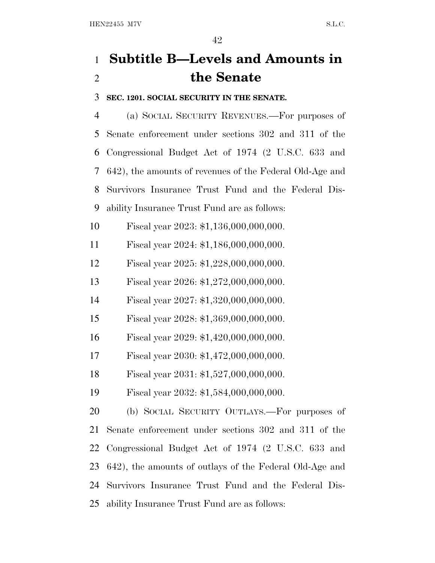# **Subtitle B—Levels and Amounts in the Senate**

**SEC. 1201. SOCIAL SECURITY IN THE SENATE.**

 (a) SOCIAL SECURITY REVENUES.—For purposes of Senate enforcement under sections 302 and 311 of the Congressional Budget Act of 1974 (2 U.S.C. 633 and 642), the amounts of revenues of the Federal Old-Age and Survivors Insurance Trust Fund and the Federal Dis-ability Insurance Trust Fund are as follows:

Fiscal year 2023: \$1,136,000,000,000.

Fiscal year 2024: \$1,186,000,000,000.

Fiscal year 2025: \$1,228,000,000,000.

Fiscal year 2026: \$1,272,000,000,000.

Fiscal year 2027: \$1,320,000,000,000.

Fiscal year 2028: \$1,369,000,000,000.

Fiscal year 2029: \$1,420,000,000,000.

Fiscal year 2030: \$1,472,000,000,000.

Fiscal year 2031: \$1,527,000,000,000.

Fiscal year 2032: \$1,584,000,000,000.

 (b) SOCIAL SECURITY OUTLAYS.—For purposes of Senate enforcement under sections 302 and 311 of the Congressional Budget Act of 1974 (2 U.S.C. 633 and 642), the amounts of outlays of the Federal Old-Age and Survivors Insurance Trust Fund and the Federal Dis-ability Insurance Trust Fund are as follows: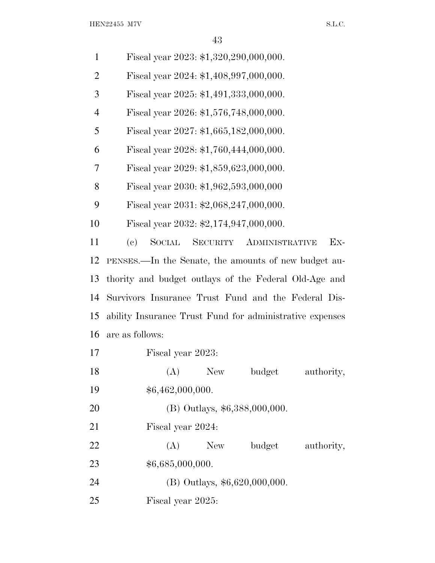$\begin{minipage}{0.9\linewidth} \textbf{HEN22455} & \textbf{M7V} \end{minipage}$ 

| $\mathbf{1}$   | Fiscal year 2023: \$1,320,290,000,000.                    |
|----------------|-----------------------------------------------------------|
| $\overline{2}$ | Fiscal year 2024: \$1,408,997,000,000.                    |
| 3              | Fiscal year 2025: \$1,491,333,000,000.                    |
| $\overline{4}$ | Fiscal year 2026: \$1,576,748,000,000.                    |
| 5              | Fiscal year 2027: \$1,665,182,000,000.                    |
| 6              | Fiscal year 2028: \$1,760,444,000,000.                    |
| 7              | Fiscal year 2029: \$1,859,623,000,000.                    |
| 8              | Fiscal year 2030: \$1,962,593,000,000                     |
| 9              | Fiscal year 2031: $$2,068,247,000,000$ .                  |
| 10             | Fiscal year 2032: \$2,174,947,000,000.                    |
| 11             | SOCIAL<br>SECURITY<br><b>ADMINISTRATIVE</b><br>Ex-<br>(e) |
| 12             | PENSES.—In the Senate, the amounts of new budget au-      |
| 13             | thority and budget outlays of the Federal Old-Age and     |
| 14             | Survivors Insurance Trust Fund and the Federal Dis-       |
| 15             | ability Insurance Trust Fund for administrative expenses  |
| 16             | are as follows:                                           |
| 17             | Fiscal year 2023:                                         |
| 18             | budget<br><b>New</b><br>(A)<br>authority,                 |
| 19             | \$6,462,000,000.                                          |
| 20             | (B) Outlays, \$6,388,000,000.                             |
| 21             | Fiscal year 2024:                                         |
| 22             | (A)<br><b>New</b><br>budget<br>authority,                 |
| 23             | \$6,685,000,000.                                          |
| 24             | $(B)$ Outlays, \$6,620,000,000.                           |
| 25             | Fiscal year 2025:                                         |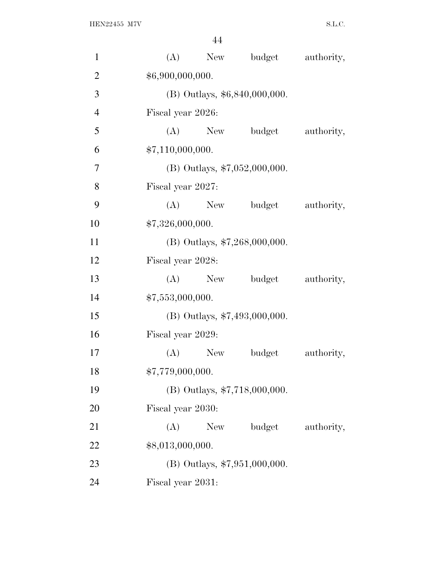| $\mathbf{1}$   | (A)               | New        | budget                          | authority, |
|----------------|-------------------|------------|---------------------------------|------------|
| $\overline{2}$ | \$6,900,000,000.  |            |                                 |            |
| $\mathfrak{Z}$ |                   |            | (B) Outlays, \$6,840,000,000.   |            |
| $\overline{4}$ | Fiscal year 2026: |            |                                 |            |
| 5              | (A)               | New        | budget                          | authority, |
| 6              | \$7,110,000,000.  |            |                                 |            |
| 7              |                   |            | (B) Outlays, $$7,052,000,000$ . |            |
| 8              | Fiscal year 2027: |            |                                 |            |
| 9              | (A)               | New        | budget                          | authority, |
| 10             | \$7,326,000,000.  |            |                                 |            |
| 11             |                   |            | (B) Outlays, $$7,268,000,000$ . |            |
| 12             | Fiscal year 2028: |            |                                 |            |
| 13             |                   | $(A)$ New  | budget                          | authority, |
| 14             | \$7,553,000,000.  |            |                                 |            |
| 15             |                   |            | (B) Outlays, \$7,493,000,000.   |            |
| 16             | Fiscal year 2029: |            |                                 |            |
| 17             | (A)               | <b>New</b> | budget                          | authority, |
| 18             | \$7,779,000,000.  |            |                                 |            |
| 19             |                   |            | (B) Outlays, \$7,718,000,000.   |            |
| 20             | Fiscal year 2030: |            |                                 |            |
| 21             | (A)               | New        | budget                          | authority, |
| 22             | \$8,013,000,000.  |            |                                 |            |
| 23             |                   |            | $(B)$ Outlays, \$7,951,000,000. |            |
| 24             | Fiscal year 2031: |            |                                 |            |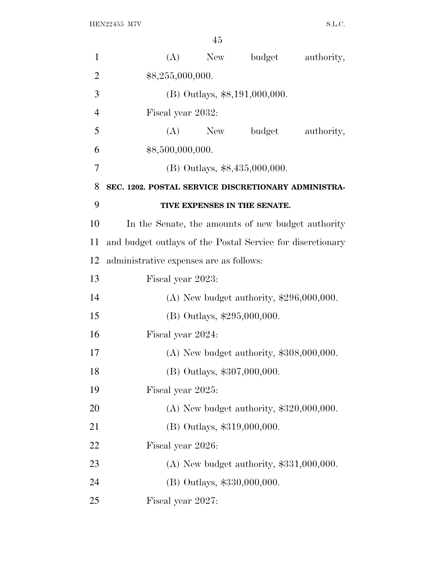| $\mathbf{1}$   |                                                            | $(A)$ New                   | budget                                     | authority, |
|----------------|------------------------------------------------------------|-----------------------------|--------------------------------------------|------------|
| $\overline{2}$ | \$8,255,000,000.                                           |                             |                                            |            |
| 3              |                                                            |                             | (B) Outlays, \$8,191,000,000.              |            |
| $\overline{4}$ | Fiscal year 2032:                                          |                             |                                            |            |
| 5              |                                                            | $(A)$ New                   | budget                                     | authority, |
| 6              | \$8,500,000,000.                                           |                             |                                            |            |
| 7              |                                                            |                             | (B) Outlays, \$8,435,000,000.              |            |
| 8              | SEC. 1202. POSTAL SERVICE DISCRETIONARY ADMINISTRA-        |                             |                                            |            |
| 9              |                                                            |                             | TIVE EXPENSES IN THE SENATE.               |            |
| 10             | In the Senate, the amounts of new budget authority         |                             |                                            |            |
| 11             | and budget outlays of the Postal Service for discretionary |                             |                                            |            |
| 12             | administrative expenses are as follows:                    |                             |                                            |            |
| 13             | Fiscal year 2023:                                          |                             |                                            |            |
| 14             |                                                            |                             | (A) New budget authority, $$296,000,000$ . |            |
| 15             |                                                            | (B) Outlays, \$295,000,000. |                                            |            |
| 16             | Fiscal year 2024:                                          |                             |                                            |            |
| 17             |                                                            |                             | $(A)$ New budget authority, \$308,000,000. |            |
| 18             |                                                            | (B) Outlays, \$307,000,000. |                                            |            |
| 19             | Fiscal year 2025:                                          |                             |                                            |            |
| 20             |                                                            |                             | (A) New budget authority, $$320,000,000$ . |            |
| 21             |                                                            | (B) Outlays, \$319,000,000. |                                            |            |
| 22             | Fiscal year 2026:                                          |                             |                                            |            |
| 23             |                                                            |                             | $(A)$ New budget authority, \$331,000,000. |            |
| 24             |                                                            | (B) Outlays, \$330,000,000. |                                            |            |
| 25             | Fiscal year 2027:                                          |                             |                                            |            |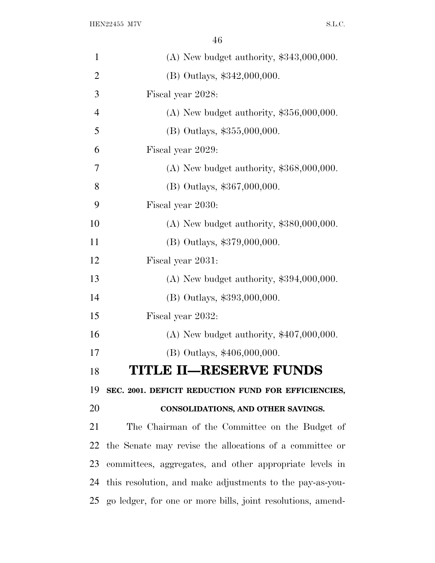| $\mathbf{1}$   | $(A)$ New budget authority, \$343,000,000.                     |
|----------------|----------------------------------------------------------------|
| $\overline{2}$ | (B) Outlays, \$342,000,000.                                    |
| 3              | Fiscal year 2028:                                              |
| $\overline{4}$ | (A) New budget authority, $$356,000,000$ .                     |
| 5              | (B) Outlays, \$355,000,000.                                    |
| 6              | Fiscal year 2029:                                              |
| 7              | $(A)$ New budget authority, \$368,000,000.                     |
| 8              | (B) Outlays, \$367,000,000.                                    |
| 9              | Fiscal year 2030:                                              |
| 10             | $(A)$ New budget authority, \$380,000,000.                     |
| 11             | (B) Outlays, \$379,000,000.                                    |
| 12             | Fiscal year 2031:                                              |
| 13             | $(A)$ New budget authority, \$394,000,000.                     |
| 14             | (B) Outlays, \$393,000,000.                                    |
| 15             | Fiscal year 2032:                                              |
| 16             | (A) New budget authority, $$407,000,000$ .                     |
| 17             | (B) Outlays, \$406,000,000.                                    |
| 18             | <b>TITLE II-RESERVE FUNDS</b>                                  |
| 19             | SEC. 2001. DEFICIT REDUCTION FUND FOR EFFICIENCIES,            |
| 20             | CONSOLIDATIONS, AND OTHER SAVINGS.                             |
| 21             | The Chairman of the Committee on the Budget of                 |
| 22             | the Senate may revise the allocations of a committee or        |
| 23             | committees, aggregates, and other appropriate levels in        |
| 24             | this resolution, and make adjustments to the pay-as-you-       |
|                | 25 go ledger, for one or more bills, joint resolutions, amend- |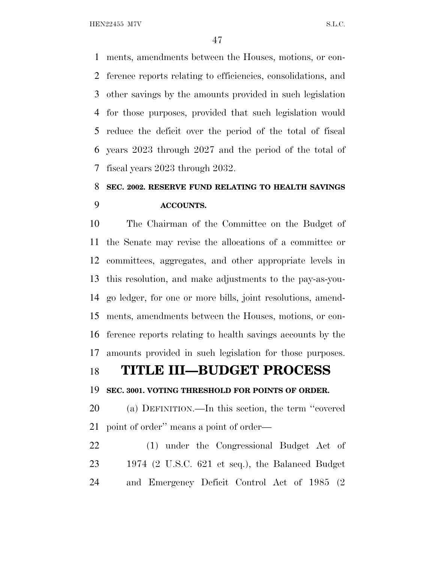ments, amendments between the Houses, motions, or con- ference reports relating to efficiencies, consolidations, and other savings by the amounts provided in such legislation for those purposes, provided that such legislation would reduce the deficit over the period of the total of fiscal years 2023 through 2027 and the period of the total of fiscal years 2023 through 2032.

# **SEC. 2002. RESERVE FUND RELATING TO HEALTH SAVINGS ACCOUNTS.**

 The Chairman of the Committee on the Budget of the Senate may revise the allocations of a committee or committees, aggregates, and other appropriate levels in this resolution, and make adjustments to the pay-as-you- go ledger, for one or more bills, joint resolutions, amend- ments, amendments between the Houses, motions, or con- ference reports relating to health savings accounts by the amounts provided in such legislation for those purposes.

## **TITLE III—BUDGET PROCESS**

### **SEC. 3001. VOTING THRESHOLD FOR POINTS OF ORDER.**

 (a) DEFINITION.—In this section, the term ''covered point of order'' means a point of order—

 (1) under the Congressional Budget Act of 1974 (2 U.S.C. 621 et seq.), the Balanced Budget and Emergency Deficit Control Act of 1985 (2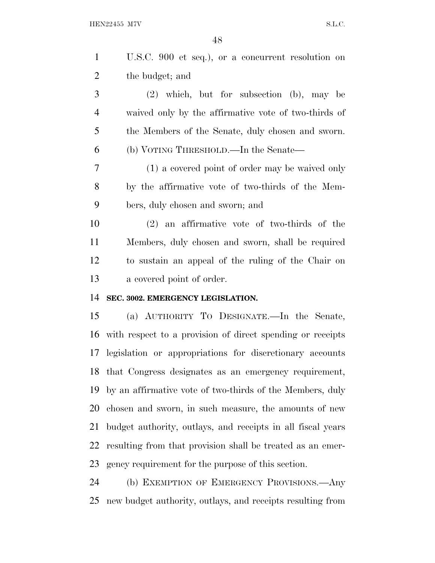U.S.C. 900 et seq.), or a concurrent resolution on the budget; and

 (2) which, but for subsection (b), may be waived only by the affirmative vote of two-thirds of the Members of the Senate, duly chosen and sworn. (b) VOTING THRESHOLD.—In the Senate—

 (1) a covered point of order may be waived only by the affirmative vote of two-thirds of the Mem-bers, duly chosen and sworn; and

 (2) an affirmative vote of two-thirds of the Members, duly chosen and sworn, shall be required to sustain an appeal of the ruling of the Chair on a covered point of order.

### **SEC. 3002. EMERGENCY LEGISLATION.**

 (a) AUTHORITY T<sup>O</sup> DESIGNATE.—In the Senate, with respect to a provision of direct spending or receipts legislation or appropriations for discretionary accounts that Congress designates as an emergency requirement, by an affirmative vote of two-thirds of the Members, duly chosen and sworn, in such measure, the amounts of new budget authority, outlays, and receipts in all fiscal years resulting from that provision shall be treated as an emer-gency requirement for the purpose of this section.

 (b) EXEMPTION OF EMERGENCY PROVISIONS.—Any new budget authority, outlays, and receipts resulting from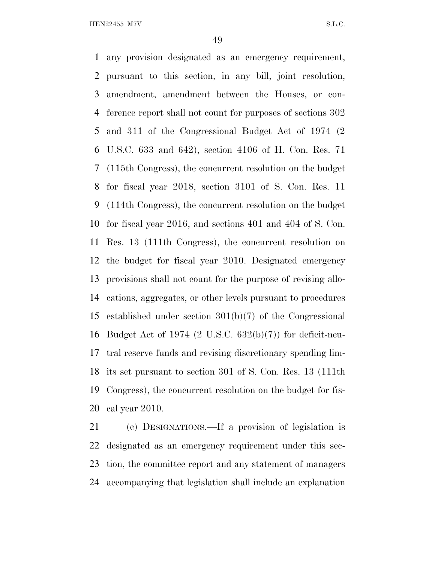any provision designated as an emergency requirement, pursuant to this section, in any bill, joint resolution, amendment, amendment between the Houses, or con- ference report shall not count for purposes of sections 302 and 311 of the Congressional Budget Act of 1974 (2 U.S.C. 633 and 642), section 4106 of H. Con. Res. 71 (115th Congress), the concurrent resolution on the budget for fiscal year 2018, section 3101 of S. Con. Res. 11 (114th Congress), the concurrent resolution on the budget for fiscal year 2016, and sections 401 and 404 of S. Con. Res. 13 (111th Congress), the concurrent resolution on the budget for fiscal year 2010. Designated emergency provisions shall not count for the purpose of revising allo- cations, aggregates, or other levels pursuant to procedures established under section 301(b)(7) of the Congressional Budget Act of 1974 (2 U.S.C. 632(b)(7)) for deficit-neu- tral reserve funds and revising discretionary spending lim- its set pursuant to section 301 of S. Con. Res. 13 (111th Congress), the concurrent resolution on the budget for fis-cal year 2010.

 (c) DESIGNATIONS.—If a provision of legislation is designated as an emergency requirement under this sec- tion, the committee report and any statement of managers accompanying that legislation shall include an explanation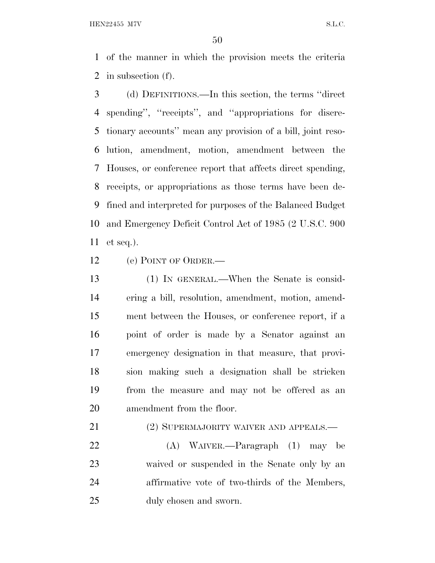of the manner in which the provision meets the criteria in subsection (f).

 (d) DEFINITIONS.—In this section, the terms ''direct spending'', ''receipts'', and ''appropriations for discre- tionary accounts'' mean any provision of a bill, joint reso- lution, amendment, motion, amendment between the Houses, or conference report that affects direct spending, receipts, or appropriations as those terms have been de- fined and interpreted for purposes of the Balanced Budget and Emergency Deficit Control Act of 1985 (2 U.S.C. 900 et seq.).

(e) POINT OF ORDER.—

 (1) IN GENERAL.—When the Senate is consid- ering a bill, resolution, amendment, motion, amend- ment between the Houses, or conference report, if a point of order is made by a Senator against an emergency designation in that measure, that provi- sion making such a designation shall be stricken from the measure and may not be offered as an amendment from the floor.

21 (2) SUPERMAJORITY WAIVER AND APPEALS.—

 (A) WAIVER.—Paragraph (1) may be waived or suspended in the Senate only by an affirmative vote of two-thirds of the Members, duly chosen and sworn.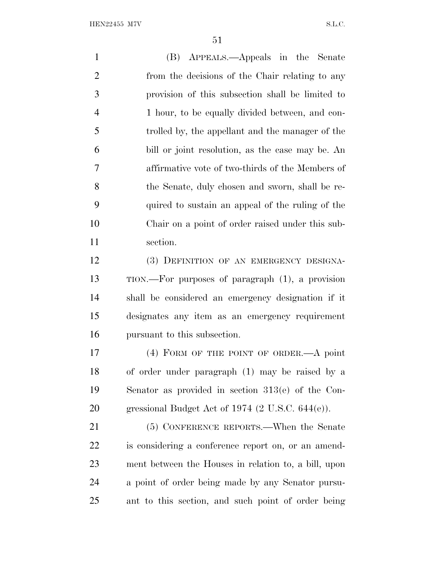(B) APPEALS.—Appeals in the Senate from the decisions of the Chair relating to any provision of this subsection shall be limited to 1 hour, to be equally divided between, and con- trolled by, the appellant and the manager of the bill or joint resolution, as the case may be. An affirmative vote of two-thirds of the Members of the Senate, duly chosen and sworn, shall be re- quired to sustain an appeal of the ruling of the Chair on a point of order raised under this sub- section. (3) DEFINITION OF AN EMERGENCY DESIGNA- TION.—For purposes of paragraph (1), a provision shall be considered an emergency designation if it designates any item as an emergency requirement pursuant to this subsection. (4) FORM OF THE POINT OF ORDER.—A point of order under paragraph (1) may be raised by a Senator as provided in section 313(e) of the Con- gressional Budget Act of 1974 (2 U.S.C. 644(e)). (5) CONFERENCE REPORTS.—When the Senate is considering a conference report on, or an amend- ment between the Houses in relation to, a bill, upon a point of order being made by any Senator pursu-

ant to this section, and such point of order being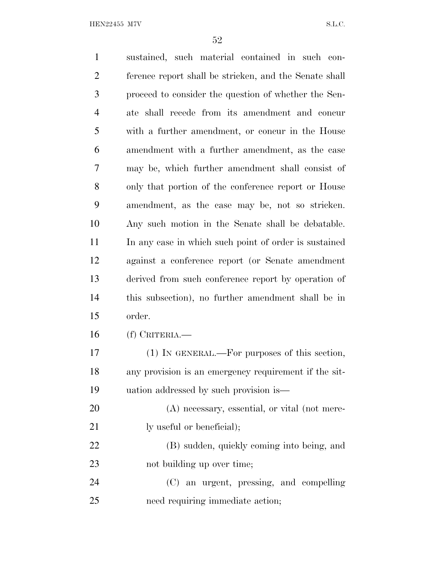sustained, such material contained in such con- ference report shall be stricken, and the Senate shall proceed to consider the question of whether the Sen- ate shall recede from its amendment and concur with a further amendment, or concur in the House amendment with a further amendment, as the case may be, which further amendment shall consist of only that portion of the conference report or House amendment, as the case may be, not so stricken. Any such motion in the Senate shall be debatable. 11 In any case in which such point of order is sustained against a conference report (or Senate amendment derived from such conference report by operation of this subsection), no further amendment shall be in order. (f) CRITERIA.— (1) IN GENERAL.—For purposes of this section, any provision is an emergency requirement if the sit- uation addressed by such provision is— (A) necessary, essential, or vital (not mere-21 ly useful or beneficial); (B) sudden, quickly coming into being, and 23 not building up over time; (C) an urgent, pressing, and compelling need requiring immediate action;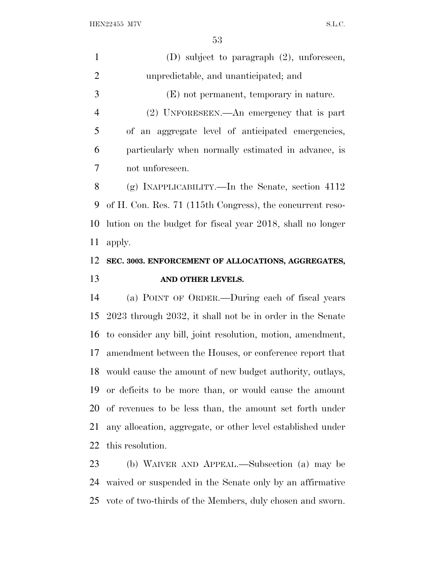| $\mathbf{1}$   | (D) subject to paragraph (2), unforeseen,                  |
|----------------|------------------------------------------------------------|
| $\overline{2}$ | unpredictable, and unanticipated; and                      |
| 3              | (E) not permanent, temporary in nature.                    |
| $\overline{4}$ | $(2)$ UNFORESEEN.—An emergency that is part                |
| 5              | of an aggregate level of anticipated emergencies,          |
| 6              | particularly when normally estimated in advance, is        |
| 7              | not unforeseen.                                            |
| 8              | (g) INAPPLICABILITY.—In the Senate, section $4112$         |
| 9              | of H. Con. Res. 71 (115th Congress), the concurrent reso-  |
| 10             | lution on the budget for fiscal year 2018, shall no longer |
| 11             | apply.                                                     |
|                |                                                            |
|                | SEC. 3003. ENFORCEMENT OF ALLOCATIONS, AGGREGATES,         |
| 12<br>13       | AND OTHER LEVELS.                                          |
| 14             | (a) POINT OF ORDER.—During each of fiscal years            |
| 15             | 2023 through 2032, it shall not be in order in the Senate  |
| 16             | to consider any bill, joint resolution, motion, amendment, |
| 17             | amendment between the Houses, or conference report that    |
| 18             | would cause the amount of new budget authority, outlays,   |
| 19             | or deficits to be more than, or would cause the amount     |
| 20             | of revenues to be less than, the amount set forth under    |

this resolution.

 (b) WAIVER AND APPEAL.—Subsection (a) may be waived or suspended in the Senate only by an affirmative vote of two-thirds of the Members, duly chosen and sworn.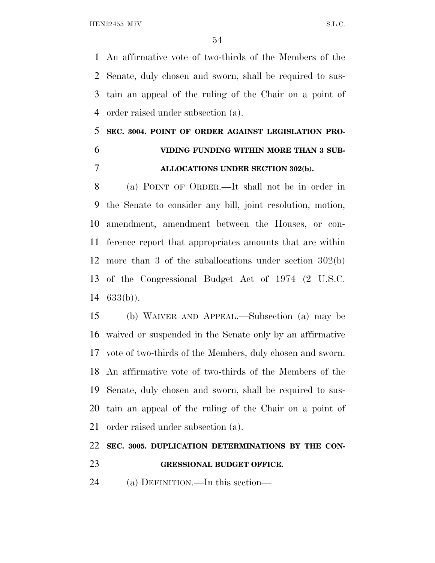An affirmative vote of two-thirds of the Members of the Senate, duly chosen and sworn, shall be required to sus- tain an appeal of the ruling of the Chair on a point of order raised under subsection (a).

# **SEC. 3004. POINT OF ORDER AGAINST LEGISLATION PRO- VIDING FUNDING WITHIN MORE THAN 3 SUB-ALLOCATIONS UNDER SECTION 302(b).**

 (a) POINT OF ORDER.—It shall not be in order in the Senate to consider any bill, joint resolution, motion, amendment, amendment between the Houses, or con- ference report that appropriates amounts that are within more than 3 of the suballocations under section 302(b) of the Congressional Budget Act of 1974 (2 U.S.C. 633(b)).

 (b) WAIVER AND APPEAL.—Subsection (a) may be waived or suspended in the Senate only by an affirmative vote of two-thirds of the Members, duly chosen and sworn. An affirmative vote of two-thirds of the Members of the Senate, duly chosen and sworn, shall be required to sus- tain an appeal of the ruling of the Chair on a point of order raised under subsection (a).

# **SEC. 3005. DUPLICATION DETERMINATIONS BY THE CON-**

## **GRESSIONAL BUDGET OFFICE.**

(a) DEFINITION.—In this section—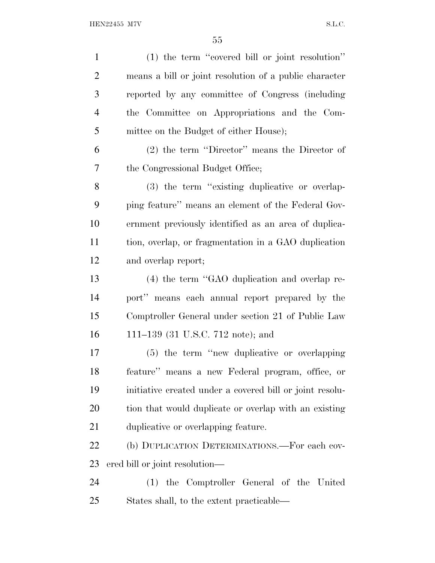(1) the term ''covered bill or joint resolution'' means a bill or joint resolution of a public character reported by any committee of Congress (including the Committee on Appropriations and the Com- mittee on the Budget of either House); (2) the term ''Director'' means the Director of the Congressional Budget Office; (3) the term ''existing duplicative or overlap- ping feature'' means an element of the Federal Gov- ernment previously identified as an area of duplica- tion, overlap, or fragmentation in a GAO duplication and overlap report; (4) the term ''GAO duplication and overlap re- port'' means each annual report prepared by the Comptroller General under section 21 of Public Law 111–139 (31 U.S.C. 712 note); and (5) the term ''new duplicative or overlapping feature'' means a new Federal program, office, or initiative created under a covered bill or joint resolu- tion that would duplicate or overlap with an existing duplicative or overlapping feature. (b) DUPLICATION DETERMINATIONS.—For each cov- ered bill or joint resolution— (1) the Comptroller General of the United States shall, to the extent practicable—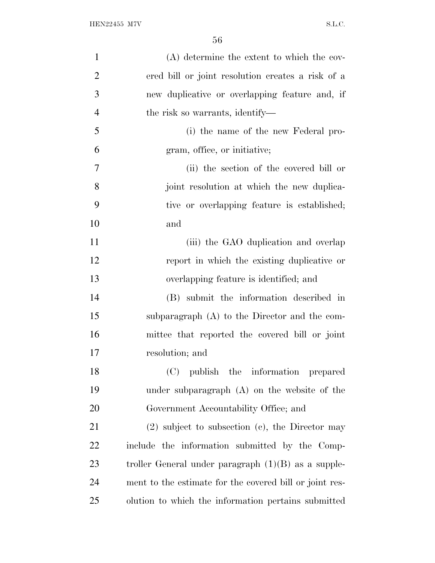| $\mathbf{1}$   | (A) determine the extent to which the cov-              |
|----------------|---------------------------------------------------------|
| $\overline{2}$ | ered bill or joint resolution creates a risk of a       |
| 3              | new duplicative or overlapping feature and, if          |
| $\overline{4}$ | the risk so warrants, identify—                         |
| 5              | (i) the name of the new Federal pro-                    |
| 6              | gram, office, or initiative;                            |
| 7              | (ii) the section of the covered bill or                 |
| 8              | joint resolution at which the new duplica-              |
| 9              | tive or overlapping feature is established;             |
| 10             | and                                                     |
| 11             | (iii) the GAO duplication and overlap                   |
| 12             | report in which the existing duplicative or             |
| 13             | overlapping feature is identified; and                  |
| 14             | (B) submit the information described in                 |
| 15             | subparagraph (A) to the Director and the com-           |
| 16             | mittee that reported the covered bill or joint          |
| 17             | resolution; and                                         |
| 18             | (C) publish the information prepared                    |
| 19             | under subparagraph $(A)$ on the website of the          |
| 20             | Government Accountability Office; and                   |
| 21             | $(2)$ subject to subsection $(e)$ , the Director may    |
| 22             | include the information submitted by the Comp-          |
| 23             | troller General under paragraph $(1)(B)$ as a supple-   |
| 24             | ment to the estimate for the covered bill or joint res- |
| 25             | olution to which the information pertains submitted     |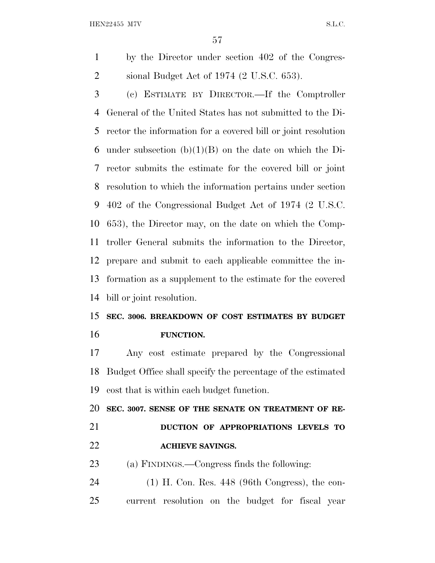by the Director under section 402 of the Congres-sional Budget Act of 1974 (2 U.S.C. 653).

 (c) ESTIMATE BY DIRECTOR.—If the Comptroller General of the United States has not submitted to the Di- rector the information for a covered bill or joint resolution 6 under subsection  $(b)(1)(B)$  on the date on which the Di- rector submits the estimate for the covered bill or joint resolution to which the information pertains under section 402 of the Congressional Budget Act of 1974 (2 U.S.C. 653), the Director may, on the date on which the Comp- troller General submits the information to the Director, prepare and submit to each applicable committee the in- formation as a supplement to the estimate for the covered bill or joint resolution.

# **SEC. 3006. BREAKDOWN OF COST ESTIMATES BY BUDGET FUNCTION.**

 Any cost estimate prepared by the Congressional Budget Office shall specify the percentage of the estimated cost that is within each budget function.

**SEC. 3007. SENSE OF THE SENATE ON TREATMENT OF RE-**

# **DUCTION OF APPROPRIATIONS LEVELS TO ACHIEVE SAVINGS.**

(a) FINDINGS.—Congress finds the following:

 (1) H. Con. Res. 448 (96th Congress), the con-current resolution on the budget for fiscal year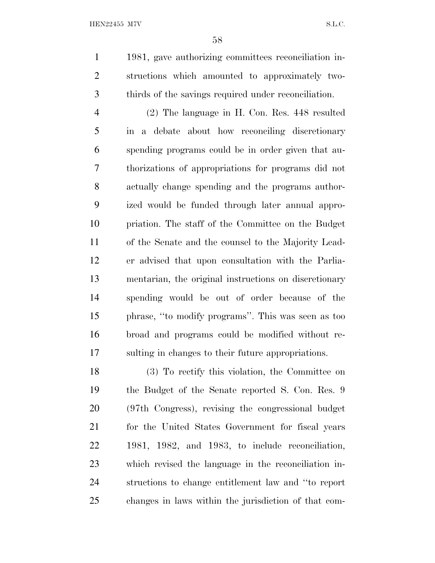1981, gave authorizing committees reconciliation in- structions which amounted to approximately two-thirds of the savings required under reconciliation.

 (2) The language in H. Con. Res. 448 resulted in a debate about how reconciling discretionary spending programs could be in order given that au- thorizations of appropriations for programs did not actually change spending and the programs author- ized would be funded through later annual appro- priation. The staff of the Committee on the Budget of the Senate and the counsel to the Majority Lead- er advised that upon consultation with the Parlia- mentarian, the original instructions on discretionary spending would be out of order because of the phrase, ''to modify programs''. This was seen as too broad and programs could be modified without re-sulting in changes to their future appropriations.

 (3) To rectify this violation, the Committee on the Budget of the Senate reported S. Con. Res. 9 (97th Congress), revising the congressional budget for the United States Government for fiscal years 1981, 1982, and 1983, to include reconciliation, which revised the language in the reconciliation in- structions to change entitlement law and ''to report changes in laws within the jurisdiction of that com-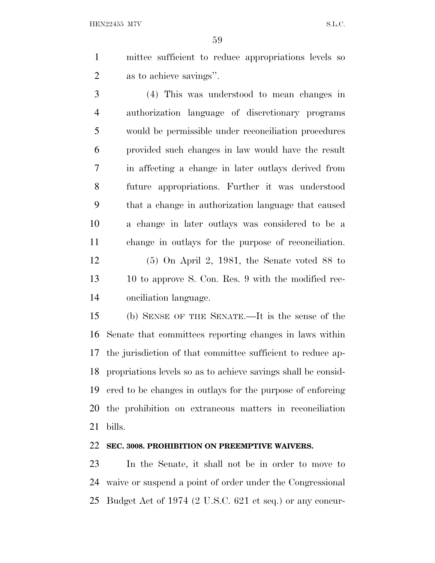mittee sufficient to reduce appropriations levels so as to achieve savings''.

 (4) This was understood to mean changes in authorization language of discretionary programs would be permissible under reconciliation procedures provided such changes in law would have the result in affecting a change in later outlays derived from future appropriations. Further it was understood that a change in authorization language that caused a change in later outlays was considered to be a change in outlays for the purpose of reconciliation. (5) On April 2, 1981, the Senate voted 88 to 10 to approve S. Con. Res. 9 with the modified rec-onciliation language.

 (b) SENSE OF THE SENATE.—It is the sense of the Senate that committees reporting changes in laws within the jurisdiction of that committee sufficient to reduce ap- propriations levels so as to achieve savings shall be consid- ered to be changes in outlays for the purpose of enforcing the prohibition on extraneous matters in reconciliation bills.

### **SEC. 3008. PROHIBITION ON PREEMPTIVE WAIVERS.**

 In the Senate, it shall not be in order to move to waive or suspend a point of order under the Congressional Budget Act of 1974 (2 U.S.C. 621 et seq.) or any concur-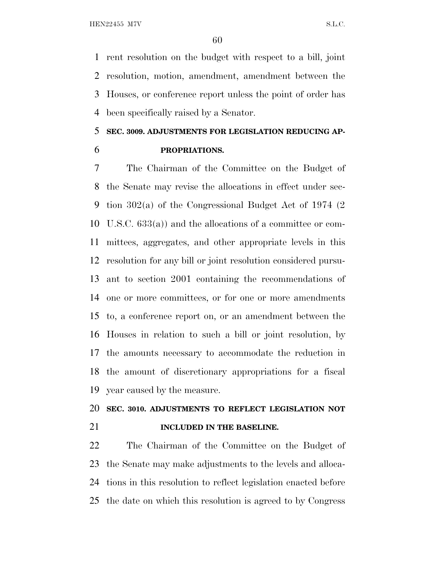rent resolution on the budget with respect to a bill, joint resolution, motion, amendment, amendment between the Houses, or conference report unless the point of order has been specifically raised by a Senator.

## **SEC. 3009. ADJUSTMENTS FOR LEGISLATION REDUCING AP-**

**PROPRIATIONS.**

 The Chairman of the Committee on the Budget of the Senate may revise the allocations in effect under sec- tion 302(a) of the Congressional Budget Act of 1974 (2 U.S.C. 633(a)) and the allocations of a committee or com- mittees, aggregates, and other appropriate levels in this resolution for any bill or joint resolution considered pursu- ant to section 2001 containing the recommendations of one or more committees, or for one or more amendments to, a conference report on, or an amendment between the Houses in relation to such a bill or joint resolution, by the amounts necessary to accommodate the reduction in the amount of discretionary appropriations for a fiscal year caused by the measure.

# **SEC. 3010. ADJUSTMENTS TO REFLECT LEGISLATION NOT**

## **INCLUDED IN THE BASELINE.**

 The Chairman of the Committee on the Budget of the Senate may make adjustments to the levels and alloca- tions in this resolution to reflect legislation enacted before the date on which this resolution is agreed to by Congress